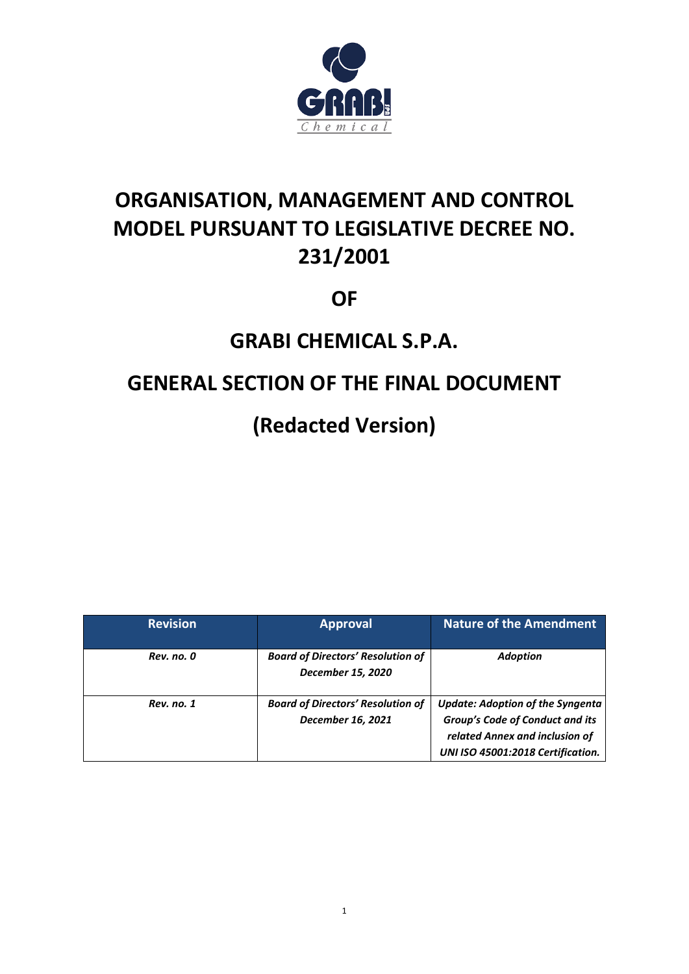

# **ORGANISATION, MANAGEMENT AND CONTROL MODEL PURSUANT TO LEGISLATIVE DECREE NO. 231/2001**

# **OF**

# **GRABI CHEMICAL S.P.A.**

# **GENERAL SECTION OF THE FINAL DOCUMENT**

# **(Redacted Version)**

| <b>Revision</b> | <b>Approval</b>                                               | <b>Nature of the Amendment</b>                                                                                                                    |
|-----------------|---------------------------------------------------------------|---------------------------------------------------------------------------------------------------------------------------------------------------|
| Rev. no. 0      | <b>Board of Directors' Resolution of</b><br>December 15, 2020 | <b>Adoption</b>                                                                                                                                   |
| Rev. no. 1      | <b>Board of Directors' Resolution of</b><br>December 16, 2021 | <b>Update: Adoption of the Syngenta</b><br>Group's Code of Conduct and its<br>related Annex and inclusion of<br>UNI ISO 45001:2018 Certification. |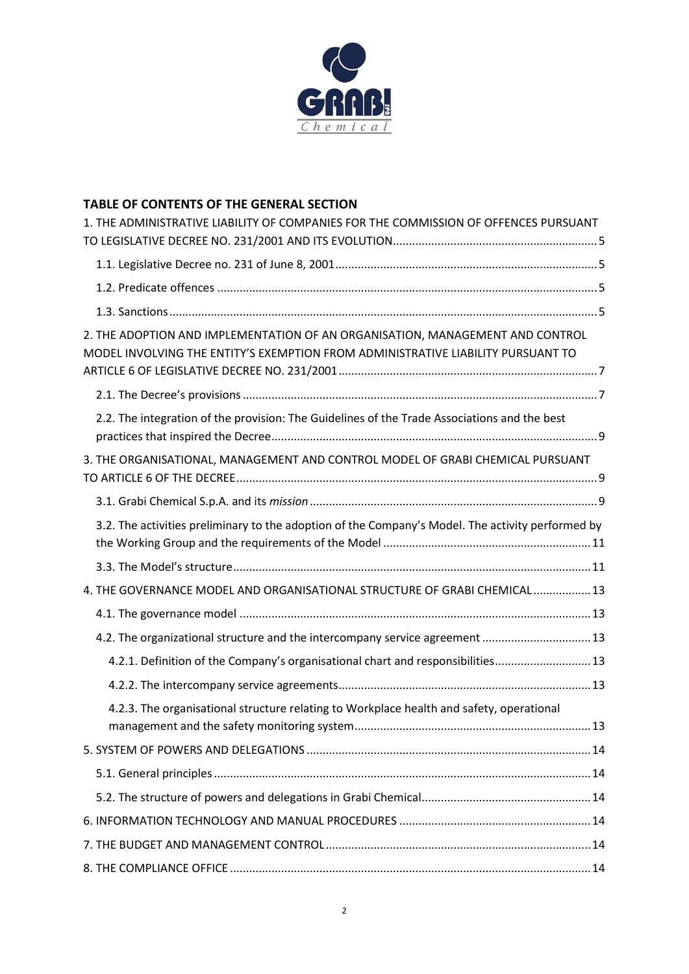

# **TABLE OF CONTENTS OF THE GENERAL SECTION**

| 1. THE ADMINISTRATIVE LIABILITY OF COMPANIES FOR THE COMMISSION OF OFFENCES PURSUANT                                                                              |
|-------------------------------------------------------------------------------------------------------------------------------------------------------------------|
|                                                                                                                                                                   |
|                                                                                                                                                                   |
|                                                                                                                                                                   |
| 2. THE ADOPTION AND IMPLEMENTATION OF AN ORGANISATION, MANAGEMENT AND CONTROL<br>MODEL INVOLVING THE ENTITY'S EXEMPTION FROM ADMINISTRATIVE LIABILITY PURSUANT TO |
|                                                                                                                                                                   |
| 2.2. The integration of the provision: The Guidelines of the Trade Associations and the best                                                                      |
| 3. THE ORGANISATIONAL, MANAGEMENT AND CONTROL MODEL OF GRABI CHEMICAL PURSUANT                                                                                    |
|                                                                                                                                                                   |
| 3.2. The activities preliminary to the adoption of the Company's Model. The activity performed by                                                                 |
|                                                                                                                                                                   |
| 4. THE GOVERNANCE MODEL AND ORGANISATIONAL STRUCTURE OF GRABI CHEMICAL 13                                                                                         |
|                                                                                                                                                                   |
| 4.2. The organizational structure and the intercompany service agreement  13                                                                                      |
| 4.2.1. Definition of the Company's organisational chart and responsibilities 13                                                                                   |
|                                                                                                                                                                   |
| 4.2.3. The organisational structure relating to Workplace health and safety, operational                                                                          |
|                                                                                                                                                                   |
|                                                                                                                                                                   |
|                                                                                                                                                                   |
|                                                                                                                                                                   |
|                                                                                                                                                                   |
|                                                                                                                                                                   |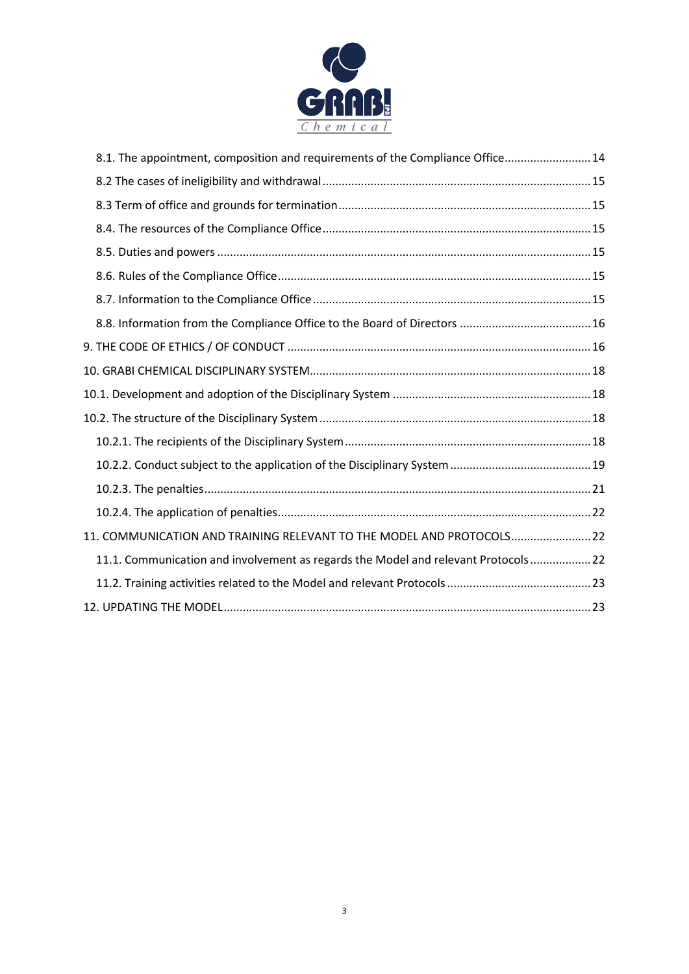

| 8.1. The appointment, composition and requirements of the Compliance Office 14    |  |
|-----------------------------------------------------------------------------------|--|
|                                                                                   |  |
|                                                                                   |  |
|                                                                                   |  |
|                                                                                   |  |
|                                                                                   |  |
|                                                                                   |  |
|                                                                                   |  |
|                                                                                   |  |
|                                                                                   |  |
|                                                                                   |  |
|                                                                                   |  |
|                                                                                   |  |
|                                                                                   |  |
|                                                                                   |  |
|                                                                                   |  |
| 11. COMMUNICATION AND TRAINING RELEVANT TO THE MODEL AND PROTOCOLS 22             |  |
| 11.1. Communication and involvement as regards the Model and relevant Protocols22 |  |
|                                                                                   |  |
|                                                                                   |  |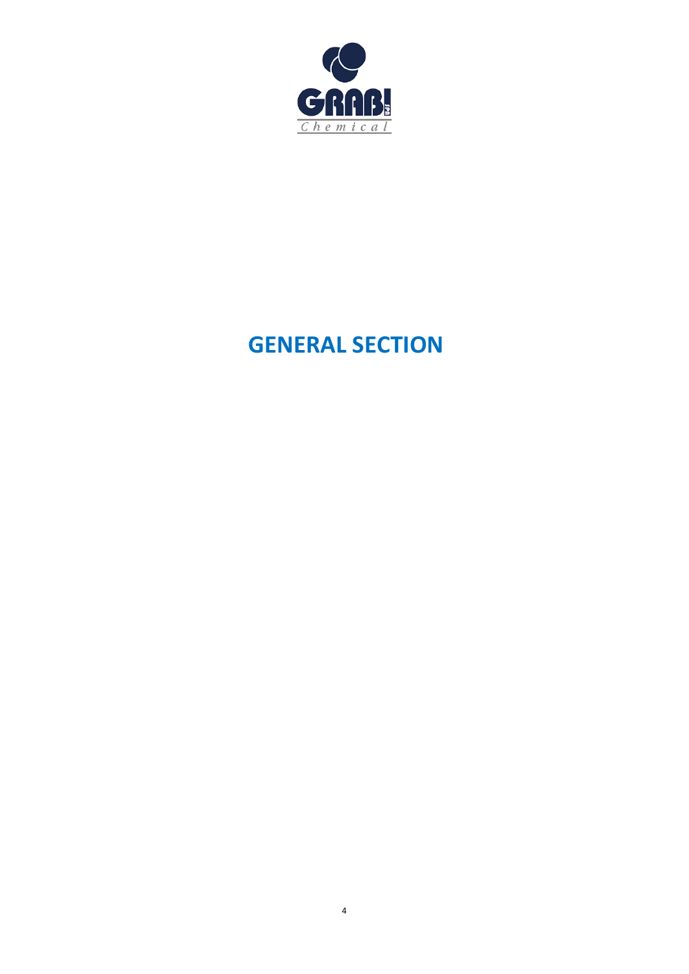

# **GENERAL SECTION**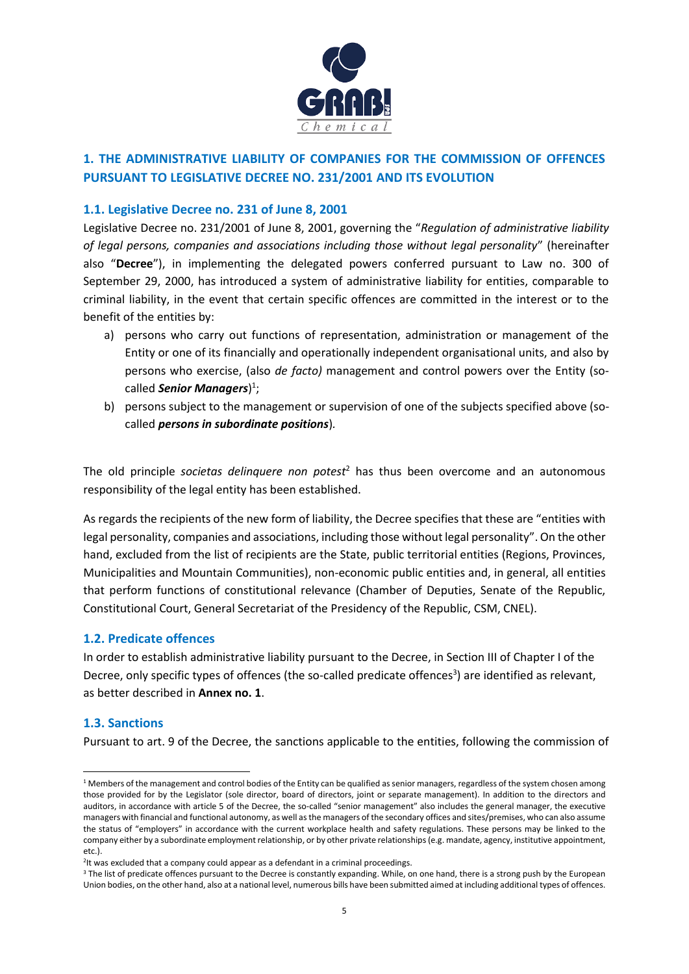

# <span id="page-4-0"></span>**1. THE ADMINISTRATIVE LIABILITY OF COMPANIES FOR THE COMMISSION OF OFFENCES PURSUANT TO LEGISLATIVE DECREE NO. 231/2001 AND ITS EVOLUTION**

# <span id="page-4-1"></span>**1.1. Legislative Decree no. 231 of June 8, 2001**

Legislative Decree no. 231/2001 of June 8, 2001, governing the "*Regulation of administrative liability of legal persons, companies and associations including those without legal personality*" (hereinafter also "**Decree**"), in implementing the delegated powers conferred pursuant to Law no. 300 of September 29, 2000, has introduced a system of administrative liability for entities, comparable to criminal liability, in the event that certain specific offences are committed in the interest or to the benefit of the entities by:

- a) persons who carry out functions of representation, administration or management of the Entity or one of its financially and operationally independent organisational units, and also by persons who exercise, (also *de facto)* management and control powers over the Entity (socalled *Senior Managers*) 1 ;
- b) persons subject to the management or supervision of one of the subjects specified above (socalled *persons in subordinate positions*)*.*

The old principle *societas delinquere non potest*<sup>2</sup> has thus been overcome and an autonomous responsibility of the legal entity has been established.

As regards the recipients of the new form of liability, the Decree specifies that these are "entities with legal personality, companies and associations, including those without legal personality". On the other hand, excluded from the list of recipients are the State, public territorial entities (Regions, Provinces, Municipalities and Mountain Communities), non-economic public entities and, in general, all entities that perform functions of constitutional relevance (Chamber of Deputies, Senate of the Republic, Constitutional Court, General Secretariat of the Presidency of the Republic, CSM, CNEL).

# <span id="page-4-2"></span>**1.2. Predicate offences**

In order to establish administrative liability pursuant to the Decree, in Section III of Chapter I of the Decree, only specific types of offences (the so-called predicate offences<sup>3</sup>) are identified as relevant, as better described in **Annex no. 1**.

# <span id="page-4-3"></span>**1.3. Sanctions**

Pursuant to art. 9 of the Decree, the sanctions applicable to the entities, following the commission of

<sup>&</sup>lt;sup>1</sup> Members of the management and control bodies of the Entity can be qualified as senior managers, regardless of the system chosen among those provided for by the Legislator (sole director, board of directors, joint or separate management). In addition to the directors and auditors, in accordance with article 5 of the Decree, the so-called "senior management" also includes the general manager, the executive managers with financial and functional autonomy, as well as the managers of the secondary offices and sites/premises, who can also assume the status of "employers" in accordance with the current workplace health and safety regulations. These persons may be linked to the company either by a subordinate employment relationship, or by other private relationships (e.g. mandate, agency, institutive appointment, etc.).

<sup>&</sup>lt;sup>2</sup>lt was excluded that a company could appear as a defendant in a criminal proceedings.

<sup>&</sup>lt;sup>3</sup> The list of predicate offences pursuant to the Decree is constantly expanding. While, on one hand, there is a strong push by the European Union bodies, on the other hand, also at a national level, numerous bills have been submitted aimed at including additional types of offences.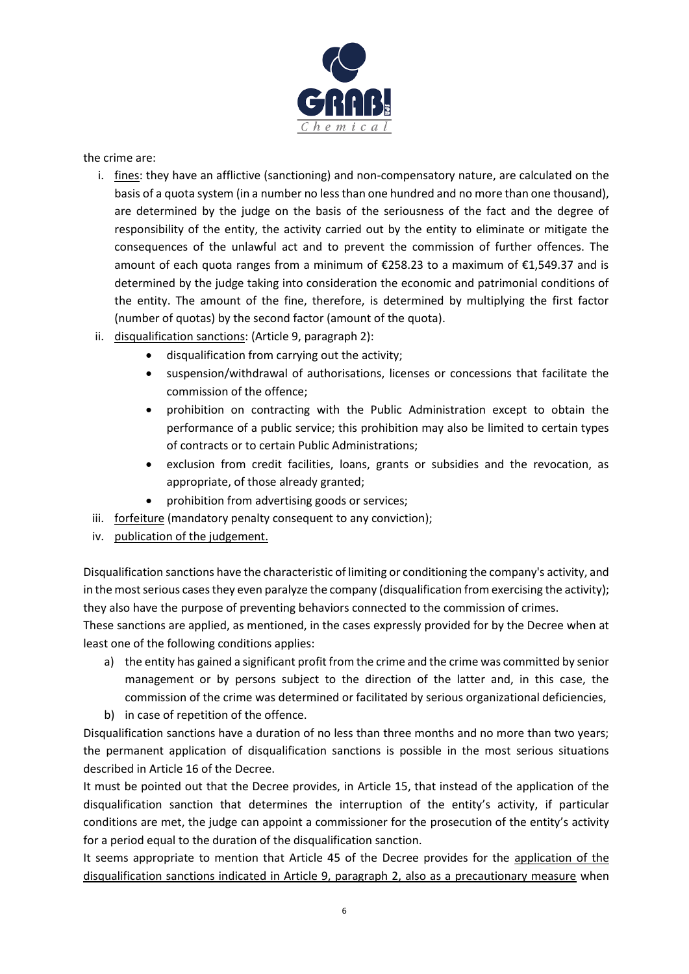

the crime are:

- i. fines: they have an afflictive (sanctioning) and non-compensatory nature, are calculated on the basis of a quota system (in a number no less than one hundred and no more than one thousand), are determined by the judge on the basis of the seriousness of the fact and the degree of responsibility of the entity, the activity carried out by the entity to eliminate or mitigate the consequences of the unlawful act and to prevent the commission of further offences. The amount of each quota ranges from a minimum of €258.23 to a maximum of €1,549.37 and is determined by the judge taking into consideration the economic and patrimonial conditions of the entity. The amount of the fine, therefore, is determined by multiplying the first factor (number of quotas) by the second factor (amount of the quota).
- ii. disqualification sanctions: (Article 9, paragraph 2):
	- disqualification from carrying out the activity;
	- suspension/withdrawal of authorisations, licenses or concessions that facilitate the commission of the offence;
	- prohibition on contracting with the Public Administration except to obtain the performance of a public service; this prohibition may also be limited to certain types of contracts or to certain Public Administrations;
	- exclusion from credit facilities, loans, grants or subsidies and the revocation, as appropriate, of those already granted;
	- prohibition from advertising goods or services;
- iii. forfeiture (mandatory penalty consequent to any conviction);
- iv. publication of the judgement.

Disqualification sanctions have the characteristic of limiting or conditioning the company's activity, and in the most serious cases they even paralyze the company (disqualification from exercising the activity); they also have the purpose of preventing behaviors connected to the commission of crimes.

These sanctions are applied, as mentioned, in the cases expressly provided for by the Decree when at least one of the following conditions applies:

- a) the entity has gained a significant profit from the crime and the crime was committed by senior management or by persons subject to the direction of the latter and, in this case, the commission of the crime was determined or facilitated by serious organizational deficiencies,
- b) in case of repetition of the offence.

Disqualification sanctions have a duration of no less than three months and no more than two years; the permanent application of disqualification sanctions is possible in the most serious situations described in Article 16 of the Decree.

It must be pointed out that the Decree provides, in Article 15, that instead of the application of the disqualification sanction that determines the interruption of the entity's activity, if particular conditions are met, the judge can appoint a commissioner for the prosecution of the entity's activity for a period equal to the duration of the disqualification sanction.

It seems appropriate to mention that Article 45 of the Decree provides for the application of the disqualification sanctions indicated in Article 9, paragraph 2, also as a precautionary measure when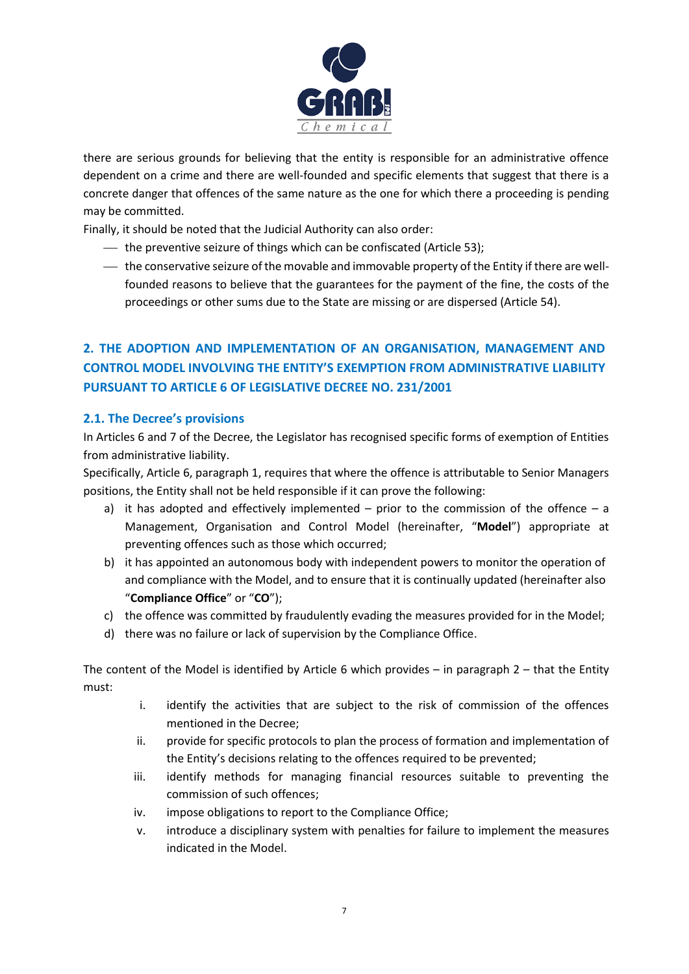

there are serious grounds for believing that the entity is responsible for an administrative offence dependent on a crime and there are well-founded and specific elements that suggest that there is a concrete danger that offences of the same nature as the one for which there a proceeding is pending may be committed.

Finally, it should be noted that the Judicial Authority can also order:

- $-$  the preventive seizure of things which can be confiscated (Article 53);
- the conservative seizure of the movable and immovable property of the Entity if there are wellfounded reasons to believe that the guarantees for the payment of the fine, the costs of the proceedings or other sums due to the State are missing or are dispersed (Article 54).

# <span id="page-6-0"></span>**2. THE ADOPTION AND IMPLEMENTATION OF AN ORGANISATION, MANAGEMENT AND CONTROL MODEL INVOLVING THE ENTITY'S EXEMPTION FROM ADMINISTRATIVE LIABILITY PURSUANT TO ARTICLE 6 OF LEGISLATIVE DECREE NO. 231/2001**

# <span id="page-6-1"></span>**2.1. The Decree's provisions**

In Articles 6 and 7 of the Decree, the Legislator has recognised specific forms of exemption of Entities from administrative liability.

Specifically, Article 6, paragraph 1, requires that where the offence is attributable to Senior Managers positions, the Entity shall not be held responsible if it can prove the following:

- a) it has adopted and effectively implemented prior to the commission of the offence a Management, Organisation and Control Model (hereinafter, "**Model**") appropriate at preventing offences such as those which occurred;
- b) it has appointed an autonomous body with independent powers to monitor the operation of and compliance with the Model, and to ensure that it is continually updated (hereinafter also "**Compliance Office**" or "**CO**");
- c) the offence was committed by fraudulently evading the measures provided for in the Model;
- d) there was no failure or lack of supervision by the Compliance Office.

The content of the Model is identified by Article 6 which provides – in paragraph  $2$  – that the Entity must:

- i. identify the activities that are subject to the risk of commission of the offences mentioned in the Decree;
- ii. provide for specific protocols to plan the process of formation and implementation of the Entity's decisions relating to the offences required to be prevented;
- iii. identify methods for managing financial resources suitable to preventing the commission of such offences;
- iv. impose obligations to report to the Compliance Office;
- v. introduce a disciplinary system with penalties for failure to implement the measures indicated in the Model.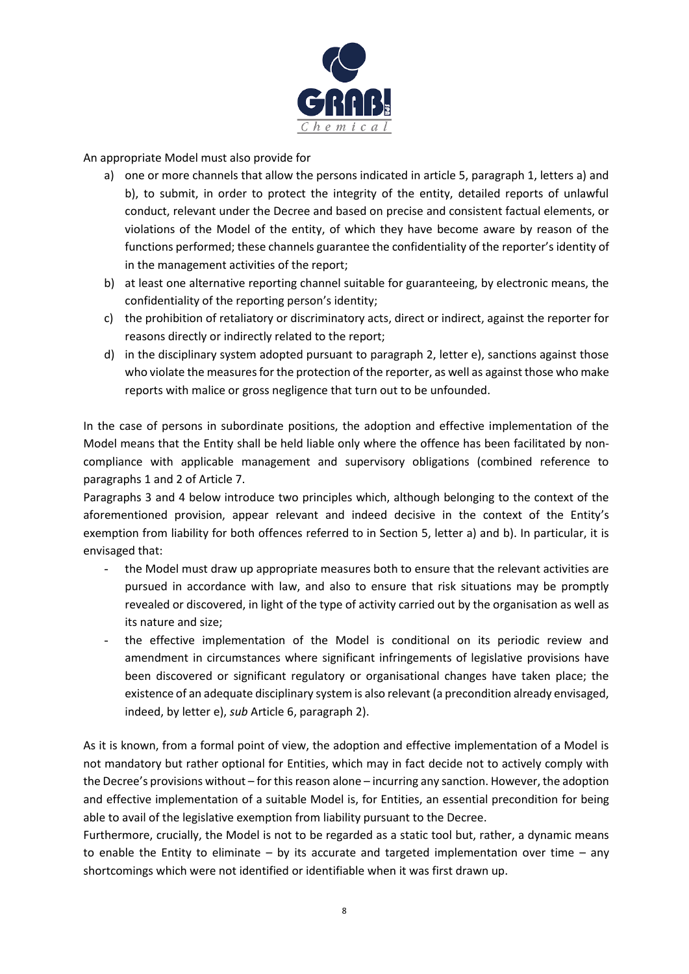

An appropriate Model must also provide for

- a) one or more channels that allow the persons indicated in article 5, paragraph 1, letters a) and b), to submit, in order to protect the integrity of the entity, detailed reports of unlawful conduct, relevant under the Decree and based on precise and consistent factual elements, or violations of the Model of the entity, of which they have become aware by reason of the functions performed; these channels guarantee the confidentiality of the reporter's identity of in the management activities of the report;
- b) at least one alternative reporting channel suitable for guaranteeing, by electronic means, the confidentiality of the reporting person's identity;
- c) the prohibition of retaliatory or discriminatory acts, direct or indirect, against the reporter for reasons directly or indirectly related to the report;
- d) in the disciplinary system adopted pursuant to paragraph 2, letter e), sanctions against those who violate the measures for the protection of the reporter, as well as against those who make reports with malice or gross negligence that turn out to be unfounded.

In the case of persons in subordinate positions, the adoption and effective implementation of the Model means that the Entity shall be held liable only where the offence has been facilitated by noncompliance with applicable management and supervisory obligations (combined reference to paragraphs 1 and 2 of Article 7.

Paragraphs 3 and 4 below introduce two principles which, although belonging to the context of the aforementioned provision, appear relevant and indeed decisive in the context of the Entity's exemption from liability for both offences referred to in Section 5, letter a) and b). In particular, it is envisaged that:

- the Model must draw up appropriate measures both to ensure that the relevant activities are pursued in accordance with law, and also to ensure that risk situations may be promptly revealed or discovered, in light of the type of activity carried out by the organisation as well as its nature and size;
- the effective implementation of the Model is conditional on its periodic review and amendment in circumstances where significant infringements of legislative provisions have been discovered or significant regulatory or organisational changes have taken place; the existence of an adequate disciplinary system is also relevant (a precondition already envisaged, indeed, by letter e), *sub* Article 6, paragraph 2).

As it is known, from a formal point of view, the adoption and effective implementation of a Model is not mandatory but rather optional for Entities, which may in fact decide not to actively comply with the Decree's provisions without – for this reason alone – incurring any sanction. However, the adoption and effective implementation of a suitable Model is, for Entities, an essential precondition for being able to avail of the legislative exemption from liability pursuant to the Decree.

Furthermore, crucially, the Model is not to be regarded as a static tool but, rather, a dynamic means to enable the Entity to eliminate – by its accurate and targeted implementation over time – any shortcomings which were not identified or identifiable when it was first drawn up.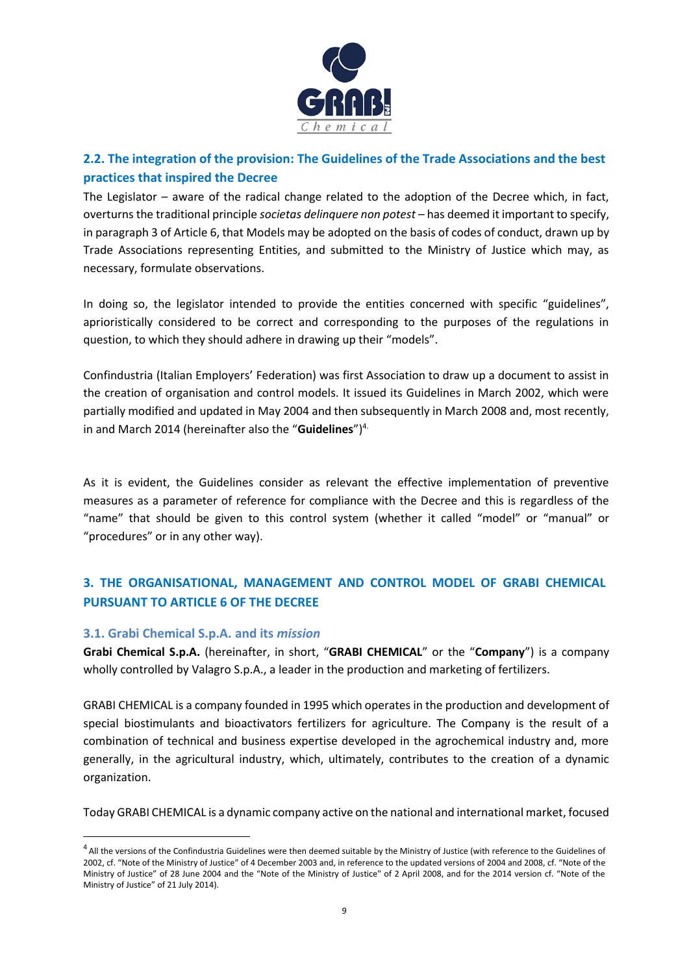

# <span id="page-8-0"></span>**2.2. The integration of the provision: The Guidelines of the Trade Associations and the best practices that inspired the Decree**

The Legislator – aware of the radical change related to the adoption of the Decree which, in fact, overturns the traditional principle *societas delinquere non potest* – has deemed it important to specify, in paragraph 3 of Article 6, that Models may be adopted on the basis of codes of conduct, drawn up by Trade Associations representing Entities, and submitted to the Ministry of Justice which may, as necessary, formulate observations.

In doing so, the legislator intended to provide the entities concerned with specific "guidelines", aprioristically considered to be correct and corresponding to the purposes of the regulations in question, to which they should adhere in drawing up their "models".

Confindustria (Italian Employers' Federation) was first Association to draw up a document to assist in the creation of organisation and control models. It issued its Guidelines in March 2002, which were partially modified and updated in May 2004 and then subsequently in March 2008 and, most recently, in and March 2014 (hereinafter also the "**Guidelines**")4.

As it is evident, the Guidelines consider as relevant the effective implementation of preventive measures as a parameter of reference for compliance with the Decree and this is regardless of the "name" that should be given to this control system (whether it called "model" or "manual" or "procedures" or in any other way).

# <span id="page-8-1"></span>**3. THE ORGANISATIONAL, MANAGEMENT AND CONTROL MODEL OF GRABI CHEMICAL PURSUANT TO ARTICLE 6 OF THE DECREE**

# <span id="page-8-2"></span>**3.1. Grabi Chemical S.p.A. and its** *mission*

**Grabi Chemical S.p.A.** (hereinafter, in short, "**GRABI CHEMICAL**" or the "**Company**") is a company wholly controlled by Valagro S.p.A., a leader in the production and marketing of fertilizers.

GRABI CHEMICAL is a company founded in 1995 which operates in the production and development of special biostimulants and bioactivators fertilizers for agriculture. The Company is the result of a combination of technical and business expertise developed in the agrochemical industry and, more generally, in the agricultural industry, which, ultimately, contributes to the creation of a dynamic organization.

Today GRABI CHEMICAL is a dynamic company active on the national and international market, focused

<sup>&</sup>lt;sup>4</sup> All the versions of the Confindustria Guidelines were then deemed suitable by the Ministry of Justice (with reference to the Guidelines of 2002, cf. "Note of the Ministry of Justice" of 4 December 2003 and, in reference to the updated versions of 2004 and 2008, cf. "Note of the Ministry of Justice" of 28 June 2004 and the "Note of the Ministry of Justice" of 2 April 2008, and for the 2014 version cf. "Note of the Ministry of Justice" of 21 July 2014).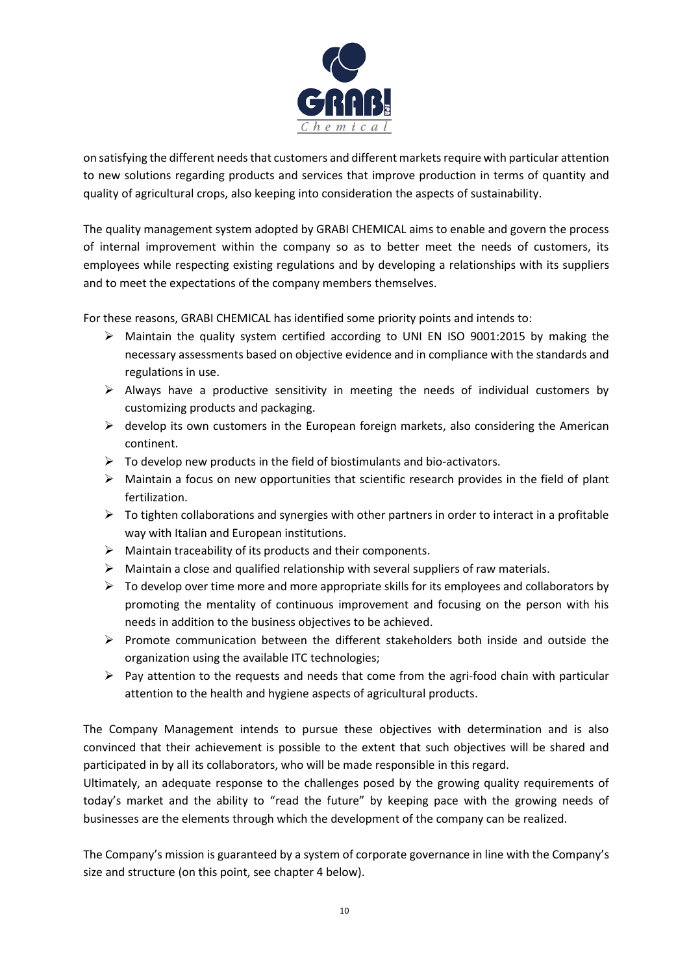

on satisfying the different needs that customers and different markets require with particular attention to new solutions regarding products and services that improve production in terms of quantity and quality of agricultural crops, also keeping into consideration the aspects of sustainability.

The quality management system adopted by GRABI CHEMICAL aims to enable and govern the process of internal improvement within the company so as to better meet the needs of customers, its employees while respecting existing regulations and by developing a relationships with its suppliers and to meet the expectations of the company members themselves.

For these reasons, GRABI CHEMICAL has identified some priority points and intends to:

- $\triangleright$  Maintain the quality system certified according to UNI EN ISO 9001:2015 by making the necessary assessments based on objective evidence and in compliance with the standards and regulations in use.
- $\triangleright$  Always have a productive sensitivity in meeting the needs of individual customers by customizing products and packaging.
- $\triangleright$  develop its own customers in the European foreign markets, also considering the American continent.
- $\triangleright$  To develop new products in the field of biostimulants and bio-activators.
- $\triangleright$  Maintain a focus on new opportunities that scientific research provides in the field of plant fertilization.
- $\triangleright$  To tighten collaborations and synergies with other partners in order to interact in a profitable way with Italian and European institutions.
- ➢ Maintain traceability of its products and their components.
- $\triangleright$  Maintain a close and qualified relationship with several suppliers of raw materials.
- $\triangleright$  To develop over time more and more appropriate skills for its employees and collaborators by promoting the mentality of continuous improvement and focusing on the person with his needs in addition to the business objectives to be achieved.
- $\triangleright$  Promote communication between the different stakeholders both inside and outside the organization using the available ITC technologies;
- ➢ Pay attention to the requests and needs that come from the agri-food chain with particular attention to the health and hygiene aspects of agricultural products.

The Company Management intends to pursue these objectives with determination and is also convinced that their achievement is possible to the extent that such objectives will be shared and participated in by all its collaborators, who will be made responsible in this regard.

Ultimately, an adequate response to the challenges posed by the growing quality requirements of today's market and the ability to "read the future" by keeping pace with the growing needs of businesses are the elements through which the development of the company can be realized.

The Company's mission is guaranteed by a system of corporate governance in line with the Company's size and structure (on this point, see chapter 4 below).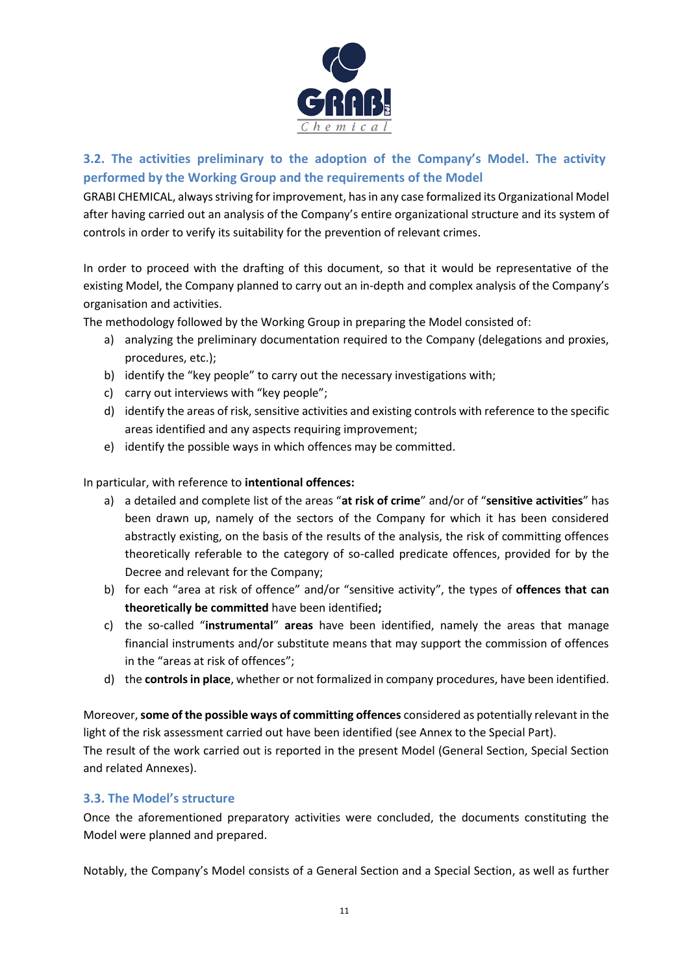

# <span id="page-10-0"></span>**3.2. The activities preliminary to the adoption of the Company's Model. The activity performed by the Working Group and the requirements of the Model**

GRABI CHEMICAL, always striving for improvement, has in any case formalized its Organizational Model after having carried out an analysis of the Company's entire organizational structure and its system of controls in order to verify its suitability for the prevention of relevant crimes.

In order to proceed with the drafting of this document, so that it would be representative of the existing Model, the Company planned to carry out an in-depth and complex analysis of the Company's organisation and activities.

The methodology followed by the Working Group in preparing the Model consisted of:

- a) analyzing the preliminary documentation required to the Company (delegations and proxies, procedures, etc.);
- b) identify the "key people" to carry out the necessary investigations with;
- c) carry out interviews with "key people";
- d) identify the areas of risk, sensitive activities and existing controls with reference to the specific areas identified and any aspects requiring improvement;
- e) identify the possible ways in which offences may be committed.

In particular, with reference to **intentional offences:**

- a) a detailed and complete list of the areas "**at risk of crime**" and/or of "**sensitive activities**" has been drawn up, namely of the sectors of the Company for which it has been considered abstractly existing, on the basis of the results of the analysis, the risk of committing offences theoretically referable to the category of so-called predicate offences, provided for by the Decree and relevant for the Company;
- b) for each "area at risk of offence" and/or "sensitive activity", the types of **offences that can theoretically be committed** have been identified**;**
- c) the so-called "**instrumental**" **areas** have been identified, namely the areas that manage financial instruments and/or substitute means that may support the commission of offences in the "areas at risk of offences";
- d) the **controls in place**, whether or not formalized in company procedures, have been identified.

Moreover, **some of the possible ways of committing offences** considered as potentially relevant in the light of the risk assessment carried out have been identified (see Annex to the Special Part). The result of the work carried out is reported in the present Model (General Section, Special Section and related Annexes).

# <span id="page-10-1"></span>**3.3. The Model's structure**

Once the aforementioned preparatory activities were concluded, the documents constituting the Model were planned and prepared.

Notably, the Company's Model consists of a General Section and a Special Section, as well as further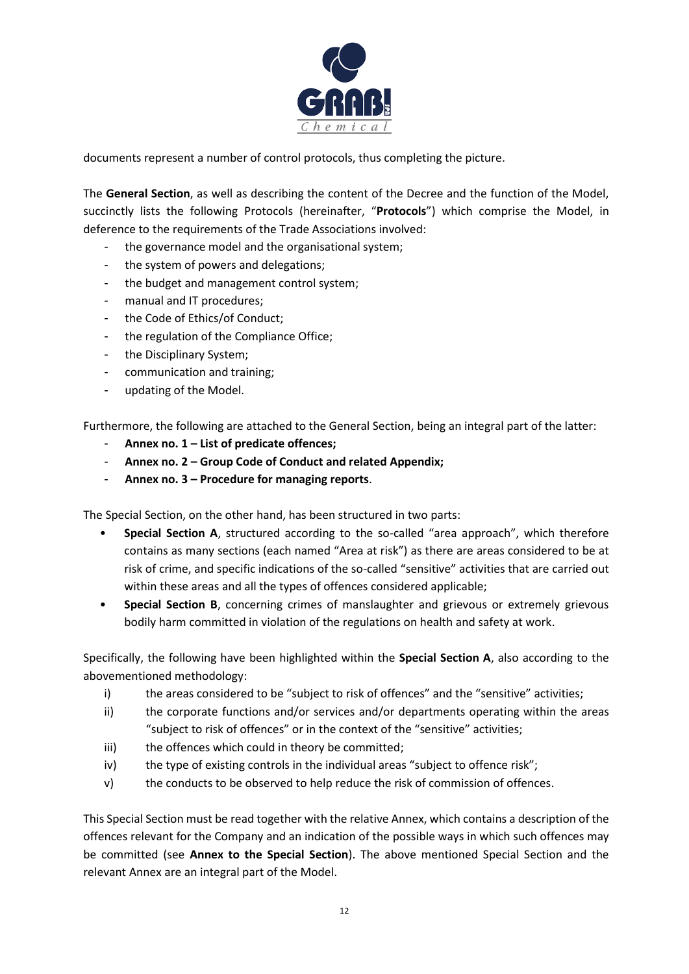

documents represent a number of control protocols, thus completing the picture.

The **General Section**, as well as describing the content of the Decree and the function of the Model, succinctly lists the following Protocols (hereinafter, "**Protocols**") which comprise the Model, in deference to the requirements of the Trade Associations involved:

- the governance model and the organisational system;
- the system of powers and delegations;
- the budget and management control system;
- manual and IT procedures;
- the Code of Ethics/of Conduct;
- the regulation of the Compliance Office;
- the Disciplinary System;
- communication and training;
- updating of the Model.

Furthermore, the following are attached to the General Section, being an integral part of the latter:

- **Annex no. 1 – List of predicate offences;**
- **Annex no. 2 – Group Code of Conduct and related Appendix;**
- **Annex no. 3 – Procedure for managing reports**.

The Special Section, on the other hand, has been structured in two parts:

- **Special Section A**, structured according to the so-called "area approach", which therefore contains as many sections (each named "Area at risk") as there are areas considered to be at risk of crime, and specific indications of the so-called "sensitive" activities that are carried out within these areas and all the types of offences considered applicable;
- **Special Section B**, concerning crimes of manslaughter and grievous or extremely grievous bodily harm committed in violation of the regulations on health and safety at work.

Specifically, the following have been highlighted within the **Special Section A**, also according to the abovementioned methodology:

- i) the areas considered to be "subject to risk of offences" and the "sensitive" activities;
- ii) the corporate functions and/or services and/or departments operating within the areas "subject to risk of offences" or in the context of the "sensitive" activities;
- iii) the offences which could in theory be committed;
- iv) the type of existing controls in the individual areas "subject to offence risk";
- v) the conducts to be observed to help reduce the risk of commission of offences.

This Special Section must be read together with the relative Annex, which contains a description of the offences relevant for the Company and an indication of the possible ways in which such offences may be committed (see **Annex to the Special Section**). The above mentioned Special Section and the relevant Annex are an integral part of the Model.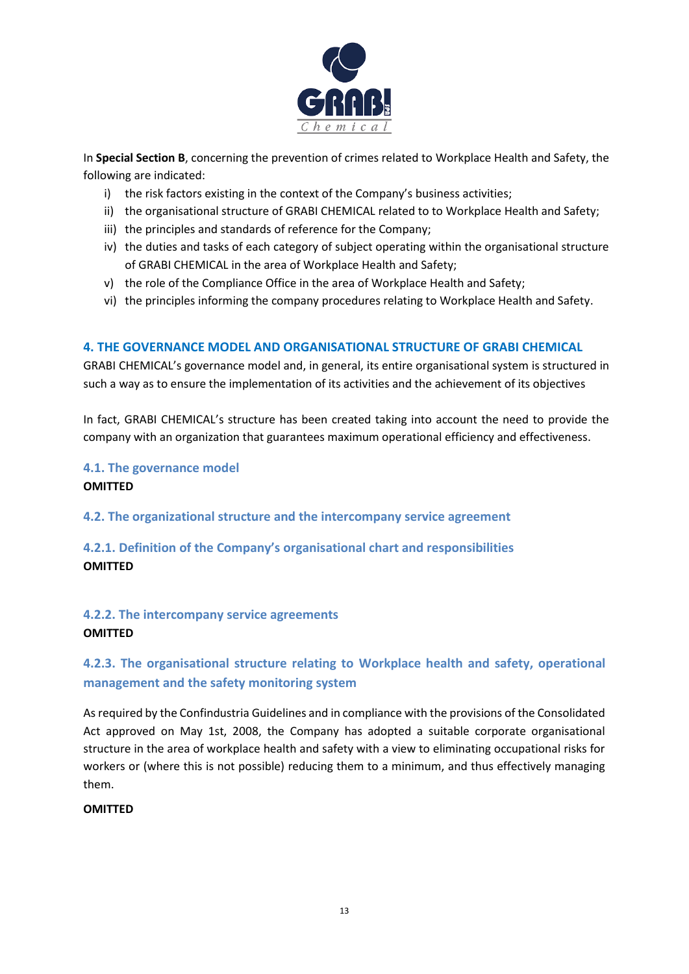

In **Special Section B**, concerning the prevention of crimes related to Workplace Health and Safety, the following are indicated:

- i) the risk factors existing in the context of the Company's business activities;
- ii) the organisational structure of GRABI CHEMICAL related to to Workplace Health and Safety;
- iii) the principles and standards of reference for the Company;
- iv) the duties and tasks of each category of subject operating within the organisational structure of GRABI CHEMICAL in the area of Workplace Health and Safety;
- v) the role of the Compliance Office in the area of Workplace Health and Safety;
- vi) the principles informing the company procedures relating to Workplace Health and Safety.

# <span id="page-12-0"></span>**4. THE GOVERNANCE MODEL AND ORGANISATIONAL STRUCTURE OF GRABI CHEMICAL**

GRABI CHEMICAL's governance model and, in general, its entire organisational system is structured in such a way as to ensure the implementation of its activities and the achievement of its objectives

In fact, GRABI CHEMICAL's structure has been created taking into account the need to provide the company with an organization that guarantees maximum operational efficiency and effectiveness.

# <span id="page-12-1"></span>**4.1. The governance model OMITTED**

<span id="page-12-2"></span>

**4.2. The organizational structure and the intercompany service agreement**

<span id="page-12-3"></span>**4.2.1. Definition of the Company's organisational chart and responsibilities OMITTED**

# <span id="page-12-4"></span>**4.2.2. The intercompany service agreements OMITTED**

# <span id="page-12-5"></span>**4.2.3. The organisational structure relating to Workplace health and safety, operational management and the safety monitoring system**

As required by the Confindustria Guidelines and in compliance with the provisions of the Consolidated Act approved on May 1st, 2008, the Company has adopted a suitable corporate organisational structure in the area of workplace health and safety with a view to eliminating occupational risks for workers or (where this is not possible) reducing them to a minimum, and thus effectively managing them.

# **OMITTED**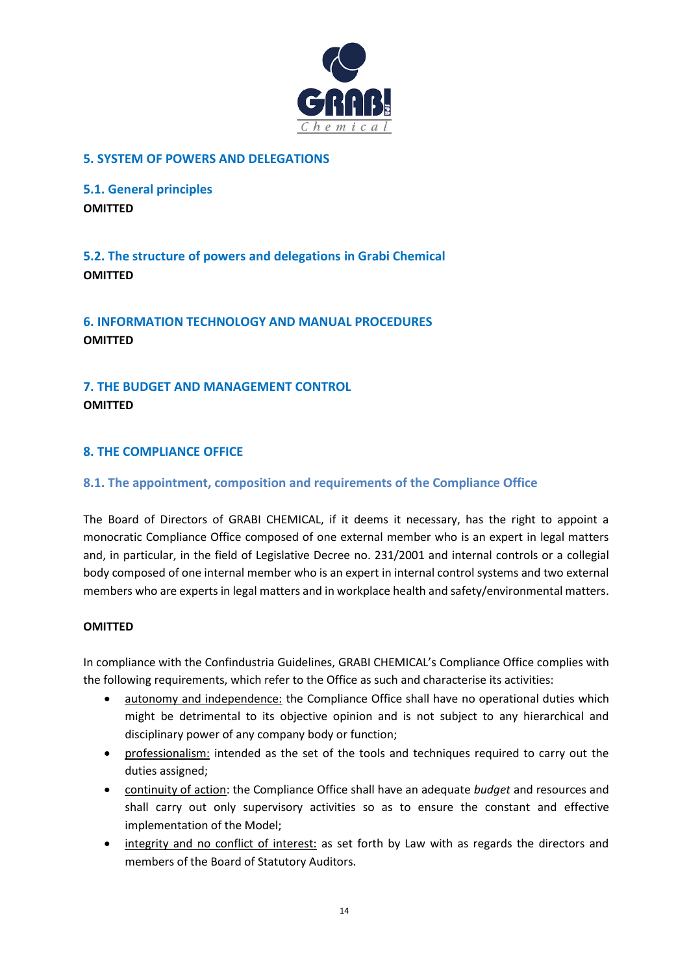

# <span id="page-13-0"></span>**5. SYSTEM OF POWERS AND DELEGATIONS**

<span id="page-13-1"></span>**5.1. General principles OMITTED**

<span id="page-13-2"></span>**5.2. The structure of powers and delegations in Grabi Chemical OMITTED**

<span id="page-13-3"></span>**6. INFORMATION TECHNOLOGY AND MANUAL PROCEDURES OMITTED**

<span id="page-13-4"></span>**7. THE BUDGET AND MANAGEMENT CONTROL OMITTED**

# <span id="page-13-5"></span>**8. THE COMPLIANCE OFFICE**

# <span id="page-13-6"></span>**8.1. The appointment, composition and requirements of the Compliance Office**

The Board of Directors of GRABI CHEMICAL, if it deems it necessary, has the right to appoint a monocratic Compliance Office composed of one external member who is an expert in legal matters and, in particular, in the field of Legislative Decree no. 231/2001 and internal controls or a collegial body composed of one internal member who is an expert in internal control systems and two external members who are experts in legal matters and in workplace health and safety/environmental matters.

#### **OMITTED**

In compliance with the Confindustria Guidelines, GRABI CHEMICAL's Compliance Office complies with the following requirements, which refer to the Office as such and characterise its activities:

- autonomy and independence: the Compliance Office shall have no operational duties which might be detrimental to its objective opinion and is not subject to any hierarchical and disciplinary power of any company body or function;
- professionalism: intended as the set of the tools and techniques required to carry out the duties assigned;
- continuity of action: the Compliance Office shall have an adequate *budget* and resources and shall carry out only supervisory activities so as to ensure the constant and effective implementation of the Model;
- integrity and no conflict of interest: as set forth by Law with as regards the directors and members of the Board of Statutory Auditors.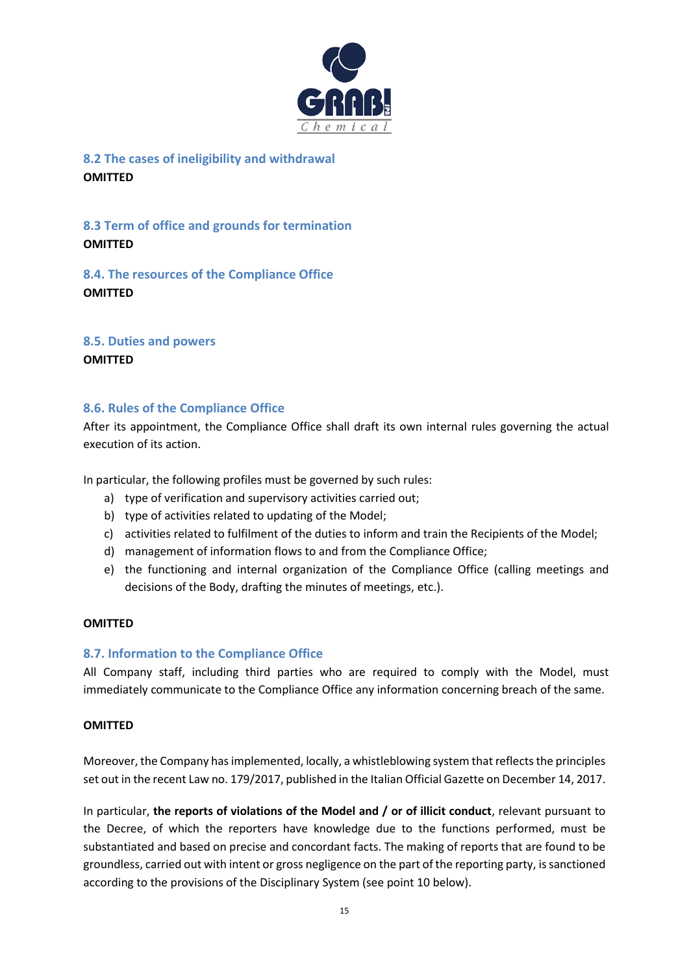

<span id="page-14-0"></span>**8.2 The cases of ineligibility and withdrawal OMITTED**

<span id="page-14-1"></span>**8.3 Term of office and grounds for termination OMITTED**

<span id="page-14-2"></span>**8.4. The resources of the Compliance Office OMITTED**

<span id="page-14-3"></span>**8.5. Duties and powers**

**OMITTED**

# <span id="page-14-4"></span>**8.6. Rules of the Compliance Office**

After its appointment, the Compliance Office shall draft its own internal rules governing the actual execution of its action.

In particular, the following profiles must be governed by such rules:

- a) type of verification and supervisory activities carried out;
- b) type of activities related to updating of the Model;
- c) activities related to fulfilment of the duties to inform and train the Recipients of the Model;
- d) management of information flows to and from the Compliance Office;
- e) the functioning and internal organization of the Compliance Office (calling meetings and decisions of the Body, drafting the minutes of meetings, etc.).

#### **OMITTED**

#### <span id="page-14-5"></span>**8.7. Information to the Compliance Office**

All Company staff, including third parties who are required to comply with the Model, must immediately communicate to the Compliance Office any information concerning breach of the same.

#### **OMITTED**

Moreover, the Company has implemented, locally, a whistleblowing system that reflects the principles set out in the recent Law no. 179/2017, published in the Italian Official Gazette on December 14, 2017.

In particular, **the reports of violations of the Model and / or of illicit conduct**, relevant pursuant to the Decree, of which the reporters have knowledge due to the functions performed, must be substantiated and based on precise and concordant facts. The making of reports that are found to be groundless, carried out with intent or gross negligence on the part of the reporting party, is sanctioned according to the provisions of the Disciplinary System (see point 10 below).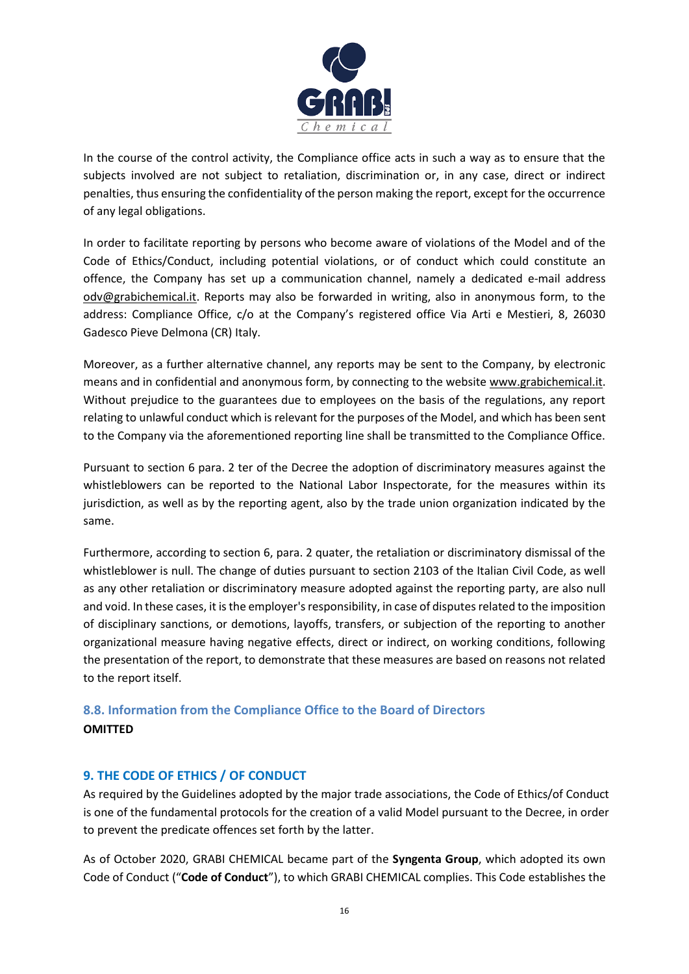

In the course of the control activity, the Compliance office acts in such a way as to ensure that the subjects involved are not subject to retaliation, discrimination or, in any case, direct or indirect penalties, thus ensuring the confidentiality of the person making the report, except for the occurrence of any legal obligations.

In order to facilitate reporting by persons who become aware of violations of the Model and of the Code of Ethics/Conduct, including potential violations, or of conduct which could constitute an offence, the Company has set up a communication channel, namely a dedicated e-mail address odv@grabichemical.it. Reports may also be forwarded in writing, also in anonymous form, to the address: Compliance Office, c/o at the Company's registered office Via Arti e Mestieri, 8, 26030 Gadesco Pieve Delmona (CR) Italy.

Moreover, as a further alternative channel, any reports may be sent to the Company, by electronic means and in confidential and anonymous form, by connecting to the website www.grabichemical.it. Without prejudice to the guarantees due to employees on the basis of the regulations, any report relating to unlawful conduct which is relevant for the purposes of the Model, and which has been sent to the Company via the aforementioned reporting line shall be transmitted to the Compliance Office.

Pursuant to section 6 para. 2 ter of the Decree the adoption of discriminatory measures against the whistleblowers can be reported to the National Labor Inspectorate, for the measures within its jurisdiction, as well as by the reporting agent, also by the trade union organization indicated by the same.

Furthermore, according to section 6, para. 2 quater, the retaliation or discriminatory dismissal of the whistleblower is null. The change of duties pursuant to section 2103 of the Italian Civil Code, as well as any other retaliation or discriminatory measure adopted against the reporting party, are also null and void. In these cases, it is the employer's responsibility, in case of disputes related to the imposition of disciplinary sanctions, or demotions, layoffs, transfers, or subjection of the reporting to another organizational measure having negative effects, direct or indirect, on working conditions, following the presentation of the report, to demonstrate that these measures are based on reasons not related to the report itself.

# <span id="page-15-0"></span>**8.8. Information from the Compliance Office to the Board of Directors OMITTED**

# <span id="page-15-1"></span>**9. THE CODE OF ETHICS / OF CONDUCT**

As required by the Guidelines adopted by the major trade associations, the Code of Ethics/of Conduct is one of the fundamental protocols for the creation of a valid Model pursuant to the Decree, in order to prevent the predicate offences set forth by the latter.

As of October 2020, GRABI CHEMICAL became part of the **Syngenta Group**, which adopted its own Code of Conduct ("**Code of Conduct**"), to which GRABI CHEMICAL complies. This Code establishes the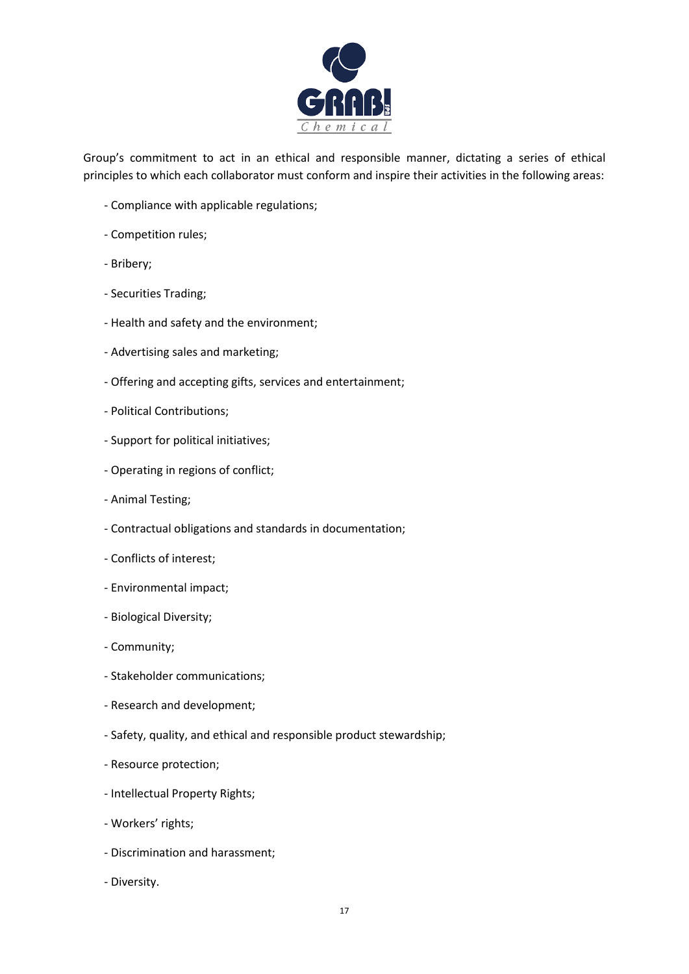

Group's commitment to act in an ethical and responsible manner, dictating a series of ethical principles to which each collaborator must conform and inspire their activities in the following areas:

- Compliance with applicable regulations;
- Competition rules;
- Bribery;
- Securities Trading;
- Health and safety and the environment;
- Advertising sales and marketing;
- Offering and accepting gifts, services and entertainment;
- Political Contributions;
- Support for political initiatives;
- Operating in regions of conflict;
- Animal Testing;
- Contractual obligations and standards in documentation;
- Conflicts of interest;
- Environmental impact;
- Biological Diversity;
- Community;
- Stakeholder communications;
- Research and development;
- Safety, quality, and ethical and responsible product stewardship;
- Resource protection;
- Intellectual Property Rights;
- Workers' rights;
- Discrimination and harassment;
- Diversity.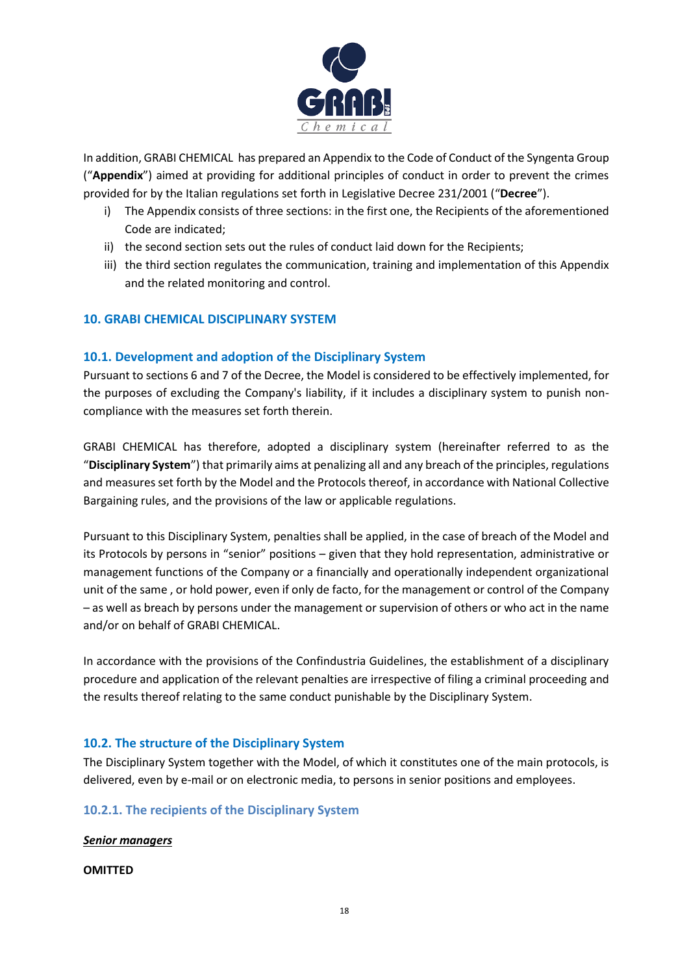

In addition, GRABI CHEMICAL has prepared an Appendix to the Code of Conduct of the Syngenta Group ("**Appendix**") aimed at providing for additional principles of conduct in order to prevent the crimes provided for by the Italian regulations set forth in Legislative Decree 231/2001 ("**Decree**").

- i) The Appendix consists of three sections: in the first one, the Recipients of the aforementioned Code are indicated;
- ii) the second section sets out the rules of conduct laid down for the Recipients;
- iii) the third section regulates the communication, training and implementation of this Appendix and the related monitoring and control.

# <span id="page-17-0"></span>**10. GRABI CHEMICAL DISCIPLINARY SYSTEM**

# <span id="page-17-1"></span>**10.1. Development and adoption of the Disciplinary System**

Pursuant to sections 6 and 7 of the Decree, the Model is considered to be effectively implemented, for the purposes of excluding the Company's liability, if it includes a disciplinary system to punish noncompliance with the measures set forth therein.

GRABI CHEMICAL has therefore, adopted a disciplinary system (hereinafter referred to as the "**Disciplinary System**") that primarily aims at penalizing all and any breach of the principles, regulations and measures set forth by the Model and the Protocols thereof, in accordance with National Collective Bargaining rules, and the provisions of the law or applicable regulations.

Pursuant to this Disciplinary System, penalties shall be applied, in the case of breach of the Model and its Protocols by persons in "senior" positions – given that they hold representation, administrative or management functions of the Company or a financially and operationally independent organizational unit of the same , or hold power, even if only de facto, for the management or control of the Company – as well as breach by persons under the management or supervision of others or who act in the name and/or on behalf of GRABI CHEMICAL.

In accordance with the provisions of the Confindustria Guidelines, the establishment of a disciplinary procedure and application of the relevant penalties are irrespective of filing a criminal proceeding and the results thereof relating to the same conduct punishable by the Disciplinary System.

# <span id="page-17-2"></span>**10.2. The structure of the Disciplinary System**

The Disciplinary System together with the Model, of which it constitutes one of the main protocols, is delivered, even by e-mail or on electronic media, to persons in senior positions and employees.

# <span id="page-17-3"></span>**10.2.1. The recipients of the Disciplinary System**

# *Senior managers*

**OMITTED**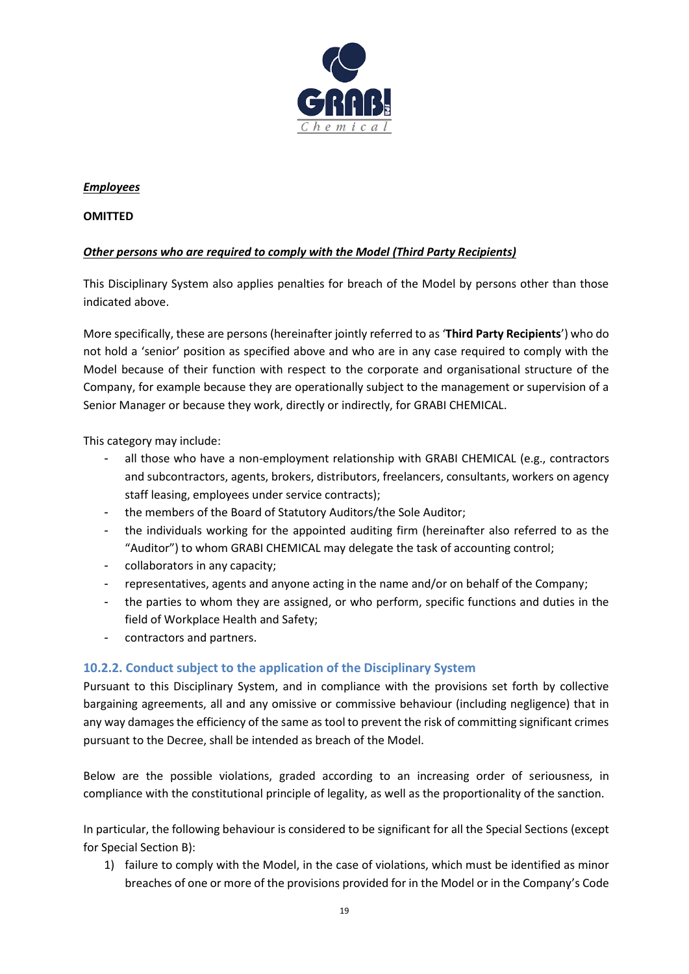

#### *Employees*

#### **OMITTED**

# *Other persons who are required to comply with the Model (Third Party Recipients)*

This Disciplinary System also applies penalties for breach of the Model by persons other than those indicated above.

More specifically, these are persons (hereinafter jointly referred to as '**Third Party Recipients**') who do not hold a 'senior' position as specified above and who are in any case required to comply with the Model because of their function with respect to the corporate and organisational structure of the Company, for example because they are operationally subject to the management or supervision of a Senior Manager or because they work, directly or indirectly, for GRABI CHEMICAL.

This category may include:

- all those who have a non-employment relationship with GRABI CHEMICAL (e.g., contractors and subcontractors, agents, brokers, distributors, freelancers, consultants, workers on agency staff leasing, employees under service contracts);
- the members of the Board of Statutory Auditors/the Sole Auditor;
- the individuals working for the appointed auditing firm (hereinafter also referred to as the "Auditor") to whom GRABI CHEMICAL may delegate the task of accounting control;
- collaborators in any capacity;
- representatives, agents and anyone acting in the name and/or on behalf of the Company;
- the parties to whom they are assigned, or who perform, specific functions and duties in the field of Workplace Health and Safety;
- contractors and partners.

# <span id="page-18-0"></span>**10.2.2. Conduct subject to the application of the Disciplinary System**

Pursuant to this Disciplinary System, and in compliance with the provisions set forth by collective bargaining agreements, all and any omissive or commissive behaviour (including negligence) that in any way damages the efficiency of the same as tool to prevent the risk of committing significant crimes pursuant to the Decree, shall be intended as breach of the Model.

Below are the possible violations, graded according to an increasing order of seriousness, in compliance with the constitutional principle of legality, as well as the proportionality of the sanction.

In particular, the following behaviour is considered to be significant for all the Special Sections (except for Special Section B):

1) failure to comply with the Model, in the case of violations, which must be identified as minor breaches of one or more of the provisions provided for in the Model or in the Company's Code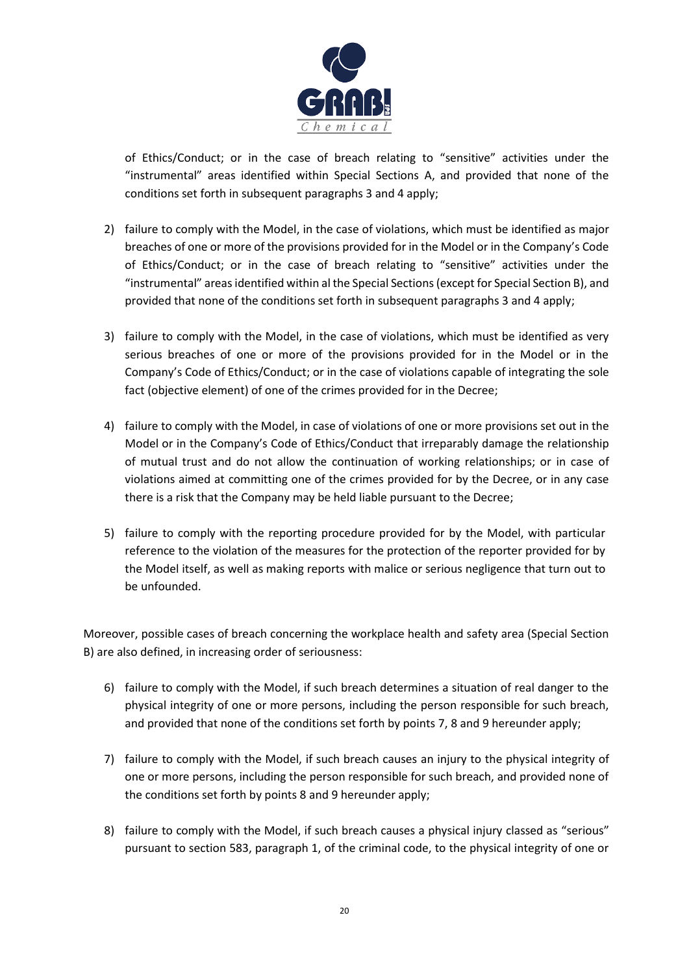

of Ethics/Conduct; or in the case of breach relating to "sensitive" activities under the "instrumental" areas identified within Special Sections A, and provided that none of the conditions set forth in subsequent paragraphs 3 and 4 apply;

- 2) failure to comply with the Model, in the case of violations, which must be identified as major breaches of one or more of the provisions provided for in the Model or in the Company's Code of Ethics/Conduct; or in the case of breach relating to "sensitive" activities under the "instrumental" areas identified within al the Special Sections(except for Special Section B), and provided that none of the conditions set forth in subsequent paragraphs 3 and 4 apply;
- 3) failure to comply with the Model, in the case of violations, which must be identified as very serious breaches of one or more of the provisions provided for in the Model or in the Company's Code of Ethics/Conduct; or in the case of violations capable of integrating the sole fact (objective element) of one of the crimes provided for in the Decree;
- 4) failure to comply with the Model, in case of violations of one or more provisions set out in the Model or in the Company's Code of Ethics/Conduct that irreparably damage the relationship of mutual trust and do not allow the continuation of working relationships; or in case of violations aimed at committing one of the crimes provided for by the Decree, or in any case there is a risk that the Company may be held liable pursuant to the Decree;
- 5) failure to comply with the reporting procedure provided for by the Model, with particular reference to the violation of the measures for the protection of the reporter provided for by the Model itself, as well as making reports with malice or serious negligence that turn out to be unfounded.

Moreover, possible cases of breach concerning the workplace health and safety area (Special Section B) are also defined, in increasing order of seriousness:

- 6) failure to comply with the Model, if such breach determines a situation of real danger to the physical integrity of one or more persons, including the person responsible for such breach, and provided that none of the conditions set forth by points 7, 8 and 9 hereunder apply;
- 7) failure to comply with the Model, if such breach causes an injury to the physical integrity of one or more persons, including the person responsible for such breach, and provided none of the conditions set forth by points 8 and 9 hereunder apply;
- 8) failure to comply with the Model, if such breach causes a physical injury classed as "serious" pursuant to section 583, paragraph 1, of the criminal code, to the physical integrity of one or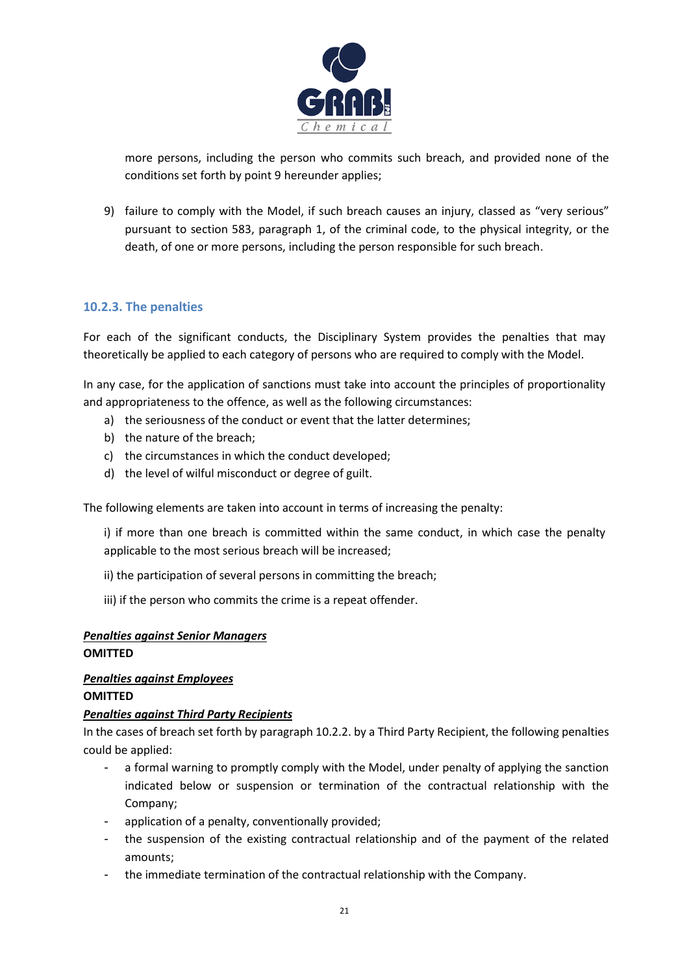

more persons, including the person who commits such breach, and provided none of the conditions set forth by point 9 hereunder applies;

9) failure to comply with the Model, if such breach causes an injury, classed as "very serious" pursuant to section 583, paragraph 1, of the criminal code, to the physical integrity, or the death, of one or more persons, including the person responsible for such breach.

# <span id="page-20-0"></span>**10.2.3. The penalties**

For each of the significant conducts, the Disciplinary System provides the penalties that may theoretically be applied to each category of persons who are required to comply with the Model.

In any case, for the application of sanctions must take into account the principles of proportionality and appropriateness to the offence, as well as the following circumstances:

- a) the seriousness of the conduct or event that the latter determines;
- b) the nature of the breach;
- c) the circumstances in which the conduct developed;
- d) the level of wilful misconduct or degree of guilt.

The following elements are taken into account in terms of increasing the penalty:

i) if more than one breach is committed within the same conduct, in which case the penalty applicable to the most serious breach will be increased;

ii) the participation of several persons in committing the breach;

iii) if the person who commits the crime is a repeat offender.

# *Penalties against Senior Managers* **OMITTED**

# *Penalties against Employees*

#### **OMITTED**

# *Penalties against Third Party Recipients*

In the cases of breach set forth by paragraph 10.2.2. by a Third Party Recipient, the following penalties could be applied:

- a formal warning to promptly comply with the Model, under penalty of applying the sanction indicated below or suspension or termination of the contractual relationship with the Company;
- application of a penalty, conventionally provided;
- the suspension of the existing contractual relationship and of the payment of the related amounts;
- the immediate termination of the contractual relationship with the Company.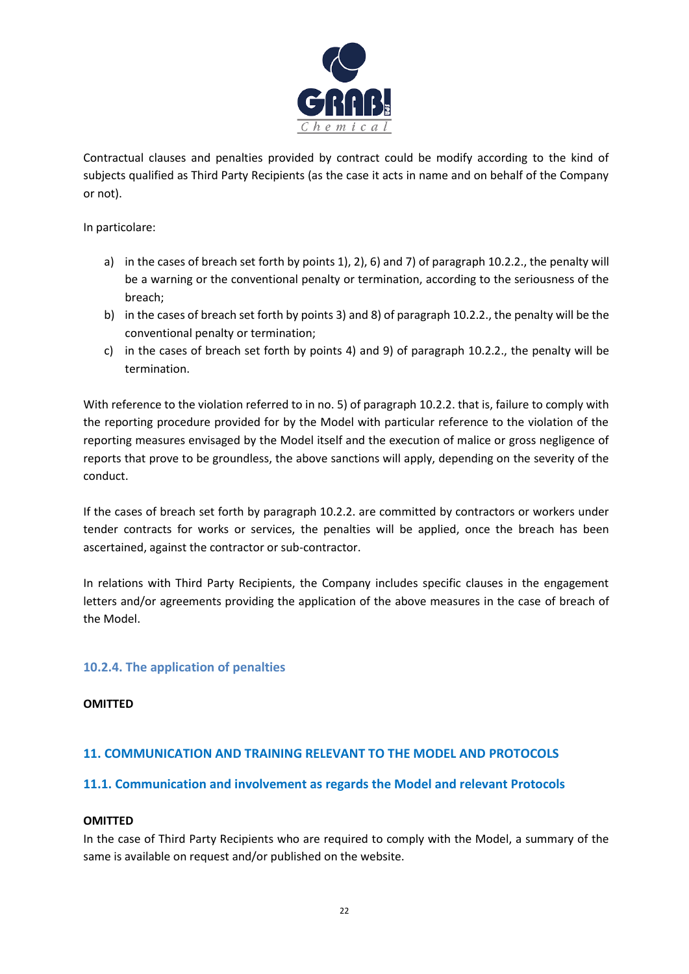

Contractual clauses and penalties provided by contract could be modify according to the kind of subjects qualified as Third Party Recipients (as the case it acts in name and on behalf of the Company or not).

In particolare:

- a) in the cases of breach set forth by points 1), 2), 6) and 7) of paragraph 10.2.2., the penalty will be a warning or the conventional penalty or termination, according to the seriousness of the breach;
- b) in the cases of breach set forth by points 3) and 8) of paragraph 10.2.2., the penalty will be the conventional penalty or termination;
- c) in the cases of breach set forth by points 4) and 9) of paragraph 10.2.2., the penalty will be termination.

With reference to the violation referred to in no. 5) of paragraph 10.2.2. that is, failure to comply with the reporting procedure provided for by the Model with particular reference to the violation of the reporting measures envisaged by the Model itself and the execution of malice or gross negligence of reports that prove to be groundless, the above sanctions will apply, depending on the severity of the conduct.

If the cases of breach set forth by paragraph 10.2.2. are committed by contractors or workers under tender contracts for works or services, the penalties will be applied, once the breach has been ascertained, against the contractor or sub-contractor.

In relations with Third Party Recipients, the Company includes specific clauses in the engagement letters and/or agreements providing the application of the above measures in the case of breach of the Model.

# <span id="page-21-0"></span>**10.2.4. The application of penalties**

#### **OMITTED**

# <span id="page-21-1"></span>**11. COMMUNICATION AND TRAINING RELEVANT TO THE MODEL AND PROTOCOLS**

# <span id="page-21-2"></span>**11.1. Communication and involvement as regards the Model and relevant Protocols**

#### **OMITTED**

In the case of Third Party Recipients who are required to comply with the Model, a summary of the same is available on request and/or published on the website.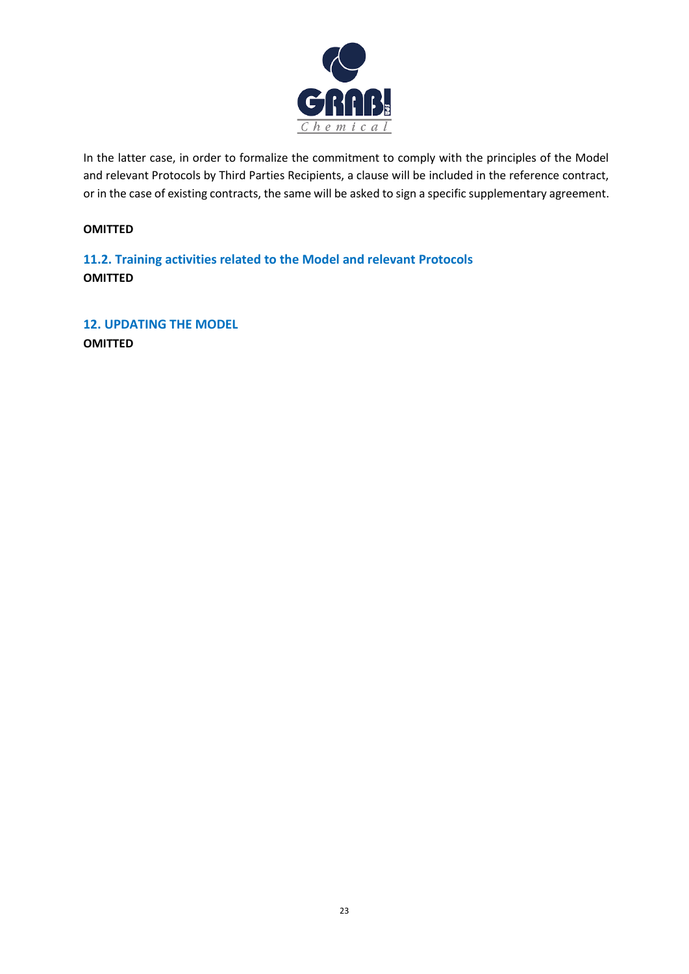

In the latter case, in order to formalize the commitment to comply with the principles of the Model and relevant Protocols by Third Parties Recipients, a clause will be included in the reference contract, or in the case of existing contracts, the same will be asked to sign a specific supplementary agreement.

#### **OMITTED**

<span id="page-22-0"></span>**11.2. Training activities related to the Model and relevant Protocols OMITTED**

<span id="page-22-1"></span>**12. UPDATING THE MODEL OMITTED**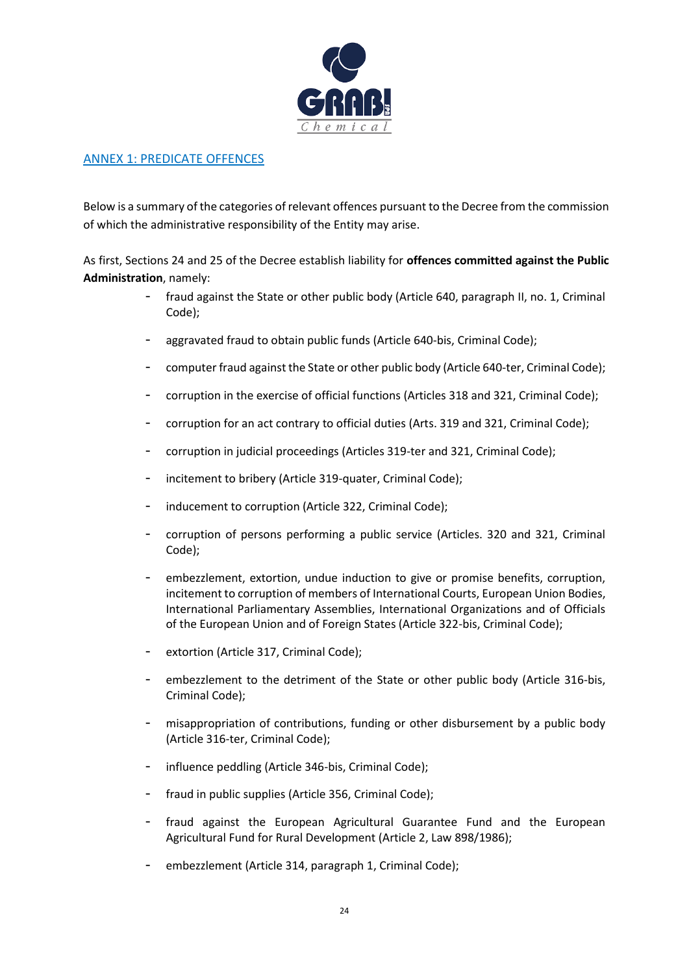

# ANNEX 1: PREDICATE OFFENCES

Below is a summary of the categories of relevant offences pursuant to the Decree from the commission of which the administrative responsibility of the Entity may arise.

As first, Sections 24 and 25 of the Decree establish liability for **offences committed against the Public Administration**, namely:

- fraud against the State or other public body (Article 640, paragraph II, no. 1, Criminal Code);
- aggravated fraud to obtain public funds (Article 640-bis, Criminal Code);
- computer fraud against the State or other public body (Article 640-ter, Criminal Code);
- corruption in the exercise of official functions (Articles 318 and 321, Criminal Code);
- corruption for an act contrary to official duties (Arts. 319 and 321, Criminal Code);
- corruption in judicial proceedings (Articles 319-ter and 321, Criminal Code);
- incitement to bribery (Article 319-quater, Criminal Code);
- inducement to corruption (Article 322, Criminal Code);
- corruption of persons performing a public service (Articles. 320 and 321, Criminal Code);
- embezzlement, extortion, undue induction to give or promise benefits, corruption, incitement to corruption of members of International Courts, European Union Bodies, International Parliamentary Assemblies, International Organizations and of Officials of the European Union and of Foreign States (Article 322-bis, Criminal Code);
- extortion (Article 317, Criminal Code);
- embezzlement to the detriment of the State or other public body (Article 316-bis, Criminal Code);
- misappropriation of contributions, funding or other disbursement by a public body (Article 316-ter, Criminal Code);
- influence peddling (Article 346-bis, Criminal Code);
- fraud in public supplies (Article 356, Criminal Code);
- fraud against the European Agricultural Guarantee Fund and the European Agricultural Fund for Rural Development (Article 2, Law 898/1986);
- embezzlement (Article 314, paragraph 1, Criminal Code);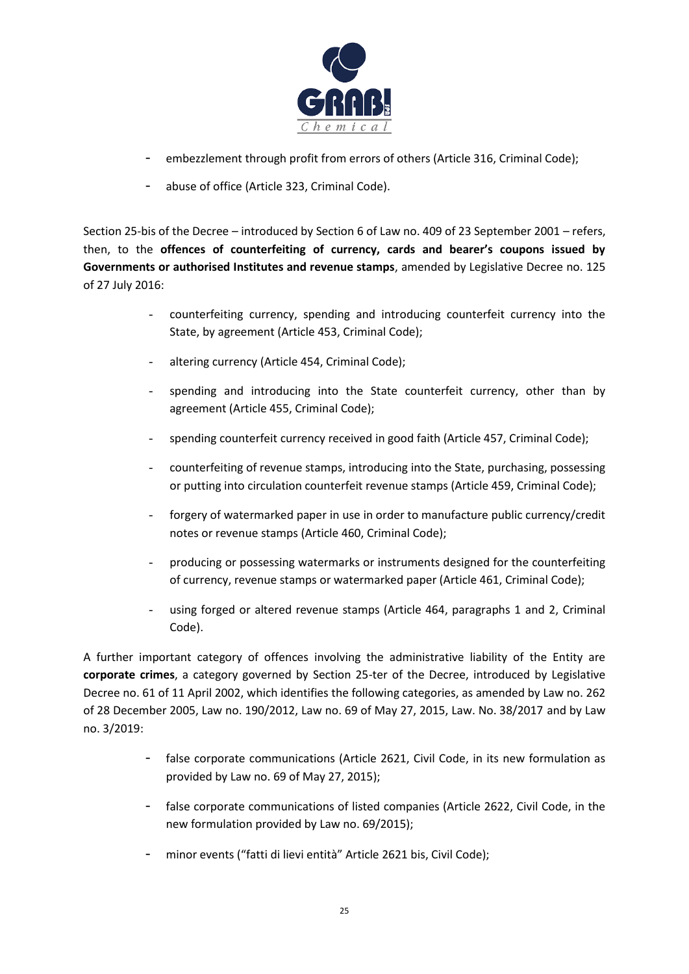

- embezzlement through profit from errors of others (Article 316, Criminal Code);
- abuse of office (Article 323, Criminal Code).

Section 25-bis of the Decree – introduced by Section 6 of Law no. 409 of 23 September 2001 – refers, then, to the **offences of counterfeiting of currency, cards and bearer's coupons issued by Governments or authorised Institutes and revenue stamps**, amended by Legislative Decree no. 125 of 27 July 2016:

- counterfeiting currency, spending and introducing counterfeit currency into the State, by agreement (Article 453, Criminal Code);
- altering currency (Article 454, Criminal Code);
- spending and introducing into the State counterfeit currency, other than by agreement (Article 455, Criminal Code);
- spending counterfeit currency received in good faith (Article 457, Criminal Code);
- counterfeiting of revenue stamps, introducing into the State, purchasing, possessing or putting into circulation counterfeit revenue stamps (Article 459, Criminal Code);
- forgery of watermarked paper in use in order to manufacture public currency/credit notes or revenue stamps (Article 460, Criminal Code);
- producing or possessing watermarks or instruments designed for the counterfeiting of currency, revenue stamps or watermarked paper (Article 461, Criminal Code);
- using forged or altered revenue stamps (Article 464, paragraphs 1 and 2, Criminal Code).

A further important category of offences involving the administrative liability of the Entity are **corporate crimes**, a category governed by Section 25-ter of the Decree, introduced by Legislative Decree no. 61 of 11 April 2002, which identifies the following categories, as amended by Law no. 262 of 28 December 2005, Law no. 190/2012, Law no. 69 of May 27, 2015, Law. No. 38/2017 and by Law no. 3/2019:

- false corporate communications (Article 2621, Civil Code, in its new formulation as provided by Law no. 69 of May 27, 2015);
- false corporate communications of listed companies (Article 2622, Civil Code, in the new formulation provided by Law no. 69/2015);
- minor events ("fatti di lievi entità" Article 2621 bis, Civil Code);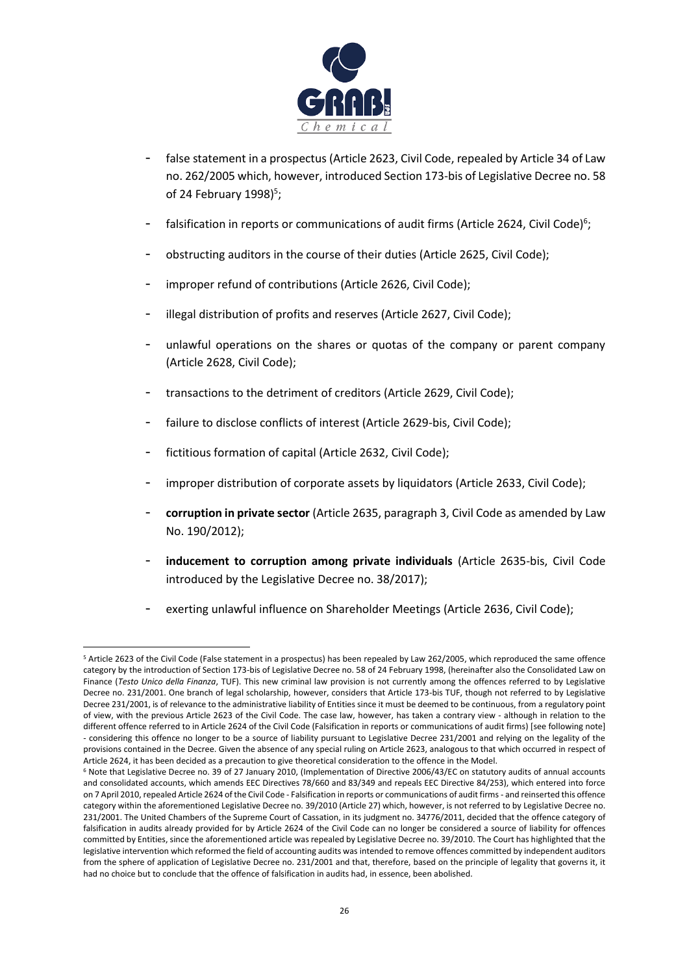

- false statement in a prospectus (Article 2623, Civil Code, repealed by Article 34 of Law no. 262/2005 which, however, introduced Section 173-bis of Legislative Decree no. 58 of 24 February 1998)<sup>5</sup>;
- falsification in reports or communications of audit firms (Article 2624, Civil Code)<sup>6</sup>;
- obstructing auditors in the course of their duties (Article 2625, Civil Code);
- improper refund of contributions (Article 2626, Civil Code);
- illegal distribution of profits and reserves (Article 2627, Civil Code);
- unlawful operations on the shares or quotas of the company or parent company (Article 2628, Civil Code);
- transactions to the detriment of creditors (Article 2629, Civil Code);
- failure to disclose conflicts of interest (Article 2629-bis, Civil Code);
- fictitious formation of capital (Article 2632, Civil Code);
- improper distribution of corporate assets by liquidators (Article 2633, Civil Code);
- **corruption in private sector** (Article 2635, paragraph 3, Civil Code as amended by Law No. 190/2012);
- inducement to corruption among private individuals (Article 2635-bis, Civil Code introduced by the Legislative Decree no. 38/2017);
- exerting unlawful influence on Shareholder Meetings (Article 2636, Civil Code);

<sup>5</sup> Article 2623 of the Civil Code (False statement in a prospectus) has been repealed by Law 262/2005, which reproduced the same offence category by the introduction of Section 173-bis of Legislative Decree no. 58 of 24 February 1998, (hereinafter also the Consolidated Law on Finance (*Testo Unico della Finanza*, TUF). This new criminal law provision is not currently among the offences referred to by Legislative Decree no. 231/2001. One branch of legal scholarship, however, considers that Article 173-bis TUF, though not referred to by Legislative Decree 231/2001, is of relevance to the administrative liability of Entities since it must be deemed to be continuous, from a regulatory point of view, with the previous Article 2623 of the Civil Code. The case law, however, has taken a contrary view - although in relation to the different offence referred to in Article 2624 of the Civil Code (Falsification in reports or communications of audit firms) [see following note] - considering this offence no longer to be a source of liability pursuant to Legislative Decree 231/2001 and relying on the legality of the provisions contained in the Decree. Given the absence of any special ruling on Article 2623, analogous to that which occurred in respect of Article 2624, it has been decided as a precaution to give theoretical consideration to the offence in the Model.

<sup>6</sup> Note that Legislative Decree no. 39 of 27 January 2010, (Implementation of Directive 2006/43/EC on statutory audits of annual accounts and consolidated accounts, which amends EEC Directives 78/660 and 83/349 and repeals EEC Directive 84/253), which entered into force on 7 April 2010, repealed Article 2624 of the Civil Code - Falsification in reports or communications of audit firms - and reinserted this offence category within the aforementioned Legislative Decree no. 39/2010 (Article 27) which, however, is not referred to by Legislative Decree no. 231/2001. The United Chambers of the Supreme Court of Cassation, in its judgment no. 34776/2011, decided that the offence category of falsification in audits already provided for by Article 2624 of the Civil Code can no longer be considered a source of liability for offences committed by Entities, since the aforementioned article was repealed by Legislative Decree no. 39/2010. The Court has highlighted that the legislative intervention which reformed the field of accounting audits was intended to remove offences committed by independent auditors from the sphere of application of Legislative Decree no. 231/2001 and that, therefore, based on the principle of legality that governs it, it had no choice but to conclude that the offence of falsification in audits had, in essence, been abolished.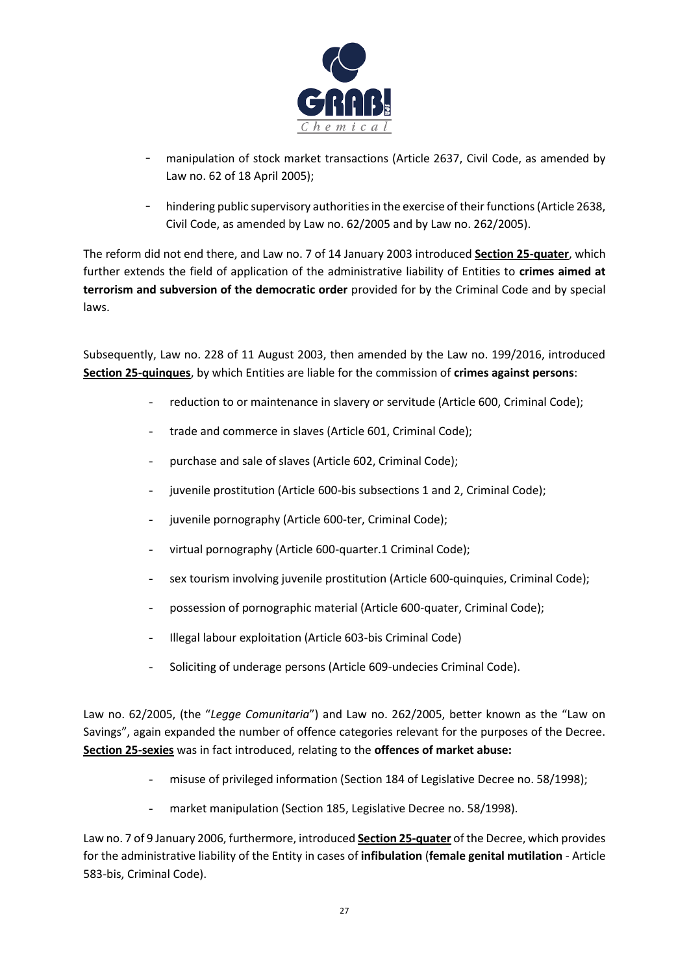

- manipulation of stock market transactions (Article 2637, Civil Code, as amended by Law no. 62 of 18 April 2005);
- hindering public supervisory authorities in the exercise of their functions (Article 2638, Civil Code, as amended by Law no. 62/2005 and by Law no. 262/2005).

The reform did not end there, and Law no. 7 of 14 January 2003 introduced **Section 25-quater**, which further extends the field of application of the administrative liability of Entities to **crimes aimed at terrorism and subversion of the democratic order** provided for by the Criminal Code and by special laws.

Subsequently, Law no. 228 of 11 August 2003, then amended by the Law no. 199/2016, introduced **Section 25-quinques**, by which Entities are liable for the commission of **crimes against persons**:

- reduction to or maintenance in slavery or servitude (Article 600, Criminal Code);
- trade and commerce in slaves (Article 601, Criminal Code);
- purchase and sale of slaves (Article 602, Criminal Code);
- juvenile prostitution (Article 600-bis subsections 1 and 2, Criminal Code);
- juvenile pornography (Article 600-ter, Criminal Code);
- virtual pornography (Article 600-quarter.1 Criminal Code);
- sex tourism involving juvenile prostitution (Article 600-quinquies, Criminal Code);
- possession of pornographic material (Article 600-quater, Criminal Code);
- Illegal labour exploitation (Article 603-bis Criminal Code)
- Soliciting of underage persons (Article 609-undecies Criminal Code).

Law no. 62/2005, (the "*Legge Comunitaria*") and Law no. 262/2005, better known as the "Law on Savings", again expanded the number of offence categories relevant for the purposes of the Decree. **Section 25-sexies** was in fact introduced, relating to the **offences of market abuse:**

- misuse of privileged information (Section 184 of Legislative Decree no. 58/1998);
- market manipulation (Section 185, Legislative Decree no. 58/1998).

Law no. 7 of 9 January 2006, furthermore, introduced **Section 25-quater** of the Decree, which provides for the administrative liability of the Entity in cases of **infibulation** (**female genital mutilation** - Article 583-bis, Criminal Code).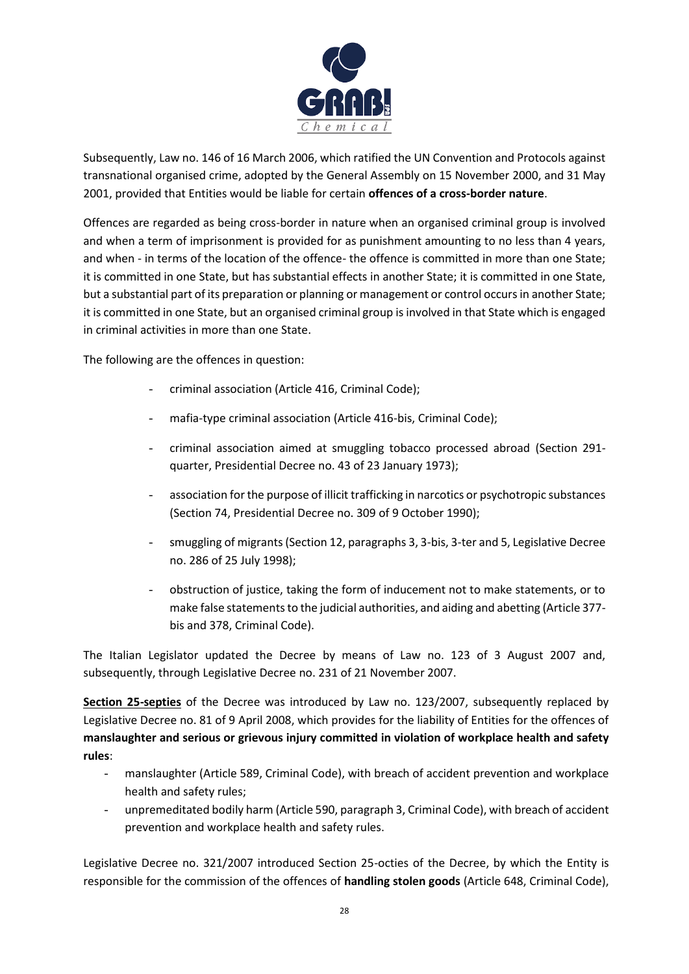

Subsequently, Law no. 146 of 16 March 2006, which ratified the UN Convention and Protocols against transnational organised crime, adopted by the General Assembly on 15 November 2000, and 31 May 2001, provided that Entities would be liable for certain **offences of a cross-border nature**.

Offences are regarded as being cross-border in nature when an organised criminal group is involved and when a term of imprisonment is provided for as punishment amounting to no less than 4 years, and when - in terms of the location of the offence- the offence is committed in more than one State; it is committed in one State, but has substantial effects in another State; it is committed in one State, but a substantial part of its preparation or planning or management or control occurs in another State; it is committed in one State, but an organised criminal group is involved in that State which is engaged in criminal activities in more than one State.

The following are the offences in question:

- criminal association (Article 416, Criminal Code);
- mafia-type criminal association (Article 416-bis, Criminal Code);
- criminal association aimed at smuggling tobacco processed abroad (Section 291 quarter, Presidential Decree no. 43 of 23 January 1973);
- association for the purpose of illicit trafficking in narcotics or psychotropic substances (Section 74, Presidential Decree no. 309 of 9 October 1990);
- smuggling of migrants (Section 12, paragraphs 3, 3-bis, 3-ter and 5, Legislative Decree no. 286 of 25 July 1998);
- obstruction of justice, taking the form of inducement not to make statements, or to make false statements to the judicial authorities, and aiding and abetting (Article 377 bis and 378, Criminal Code).

The Italian Legislator updated the Decree by means of Law no. 123 of 3 August 2007 and, subsequently, through Legislative Decree no. 231 of 21 November 2007.

**Section 25-septies** of the Decree was introduced by Law no. 123/2007, subsequently replaced by Legislative Decree no. 81 of 9 April 2008, which provides for the liability of Entities for the offences of **manslaughter and serious or grievous injury committed in violation of workplace health and safety rules**:

- manslaughter (Article 589, Criminal Code), with breach of accident prevention and workplace health and safety rules;
- unpremeditated bodily harm (Article 590, paragraph 3, Criminal Code), with breach of accident prevention and workplace health and safety rules.

Legislative Decree no. 321/2007 introduced Section 25-octies of the Decree, by which the Entity is responsible for the commission of the offences of **handling stolen goods** (Article 648, Criminal Code),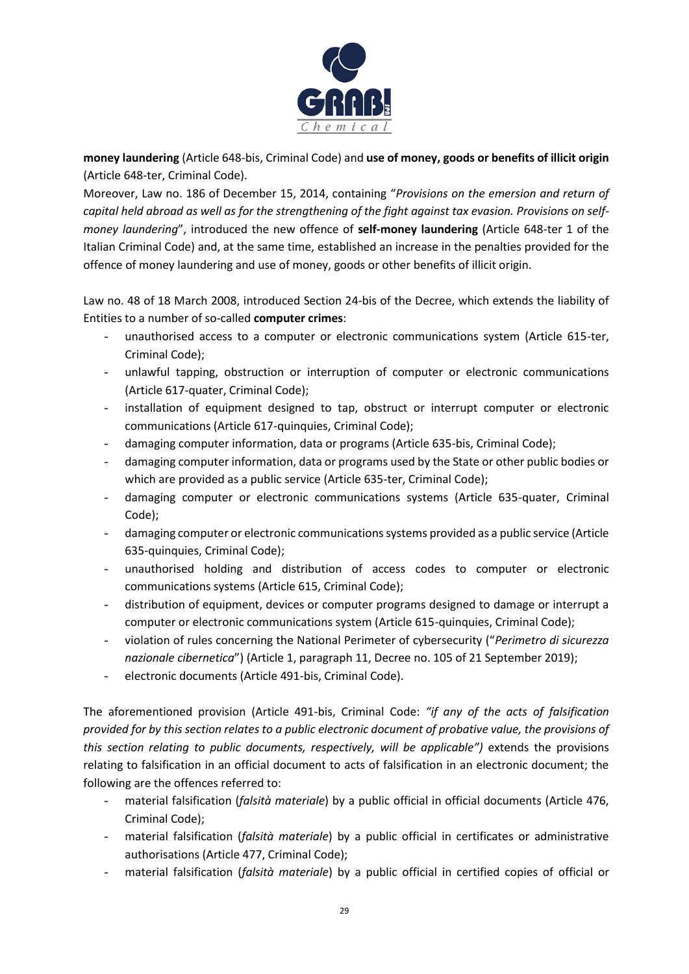

**money laundering** (Article 648-bis, Criminal Code) and **use of money, goods or benefits of illicit origin** (Article 648-ter, Criminal Code).

Moreover, Law no. 186 of December 15, 2014, containing "*Provisions on the emersion and return of capital held abroad as well as for the strengthening of the fight against tax evasion. Provisions on selfmoney laundering*", introduced the new offence of **self-money laundering** (Article 648-ter 1 of the Italian Criminal Code) and, at the same time, established an increase in the penalties provided for the offence of money laundering and use of money, goods or other benefits of illicit origin.

Law no. 48 of 18 March 2008, introduced Section 24-bis of the Decree, which extends the liability of Entities to a number of so-called **computer crimes**:

- unauthorised access to a computer or electronic communications system (Article 615-ter, Criminal Code);
- unlawful tapping, obstruction or interruption of computer or electronic communications (Article 617-quater, Criminal Code);
- installation of equipment designed to tap, obstruct or interrupt computer or electronic communications (Article 617-quinquies, Criminal Code);
- damaging computer information, data or programs (Article 635-bis, Criminal Code);
- damaging computer information, data or programs used by the State or other public bodies or which are provided as a public service (Article 635-ter, Criminal Code);
- damaging computer or electronic communications systems (Article 635-quater, Criminal Code);
- damaging computer or electronic communications systems provided as a public service (Article 635-quinquies, Criminal Code);
- unauthorised holding and distribution of access codes to computer or electronic communications systems (Article 615, Criminal Code);
- distribution of equipment, devices or computer programs designed to damage or interrupt a computer or electronic communications system (Article 615-quinquies, Criminal Code);
- violation of rules concerning the National Perimeter of cybersecurity ("*Perimetro di sicurezza nazionale cibernetica*") (Article 1, paragraph 11, Decree no. 105 of 21 September 2019);
- electronic documents (Article 491-bis, Criminal Code).

The aforementioned provision (Article 491-bis, Criminal Code: *"if any of the acts of falsification provided for by this section relates to a public electronic document of probative value, the provisions of this section relating to public documents, respectively, will be applicable")* extends the provisions relating to falsification in an official document to acts of falsification in an electronic document; the following are the offences referred to:

- material falsification (*falsità materiale*) by a public official in official documents (Article 476, Criminal Code);
- material falsification (*falsità materiale*) by a public official in certificates or administrative authorisations (Article 477, Criminal Code);
- material falsification (*falsità materiale*) by a public official in certified copies of official or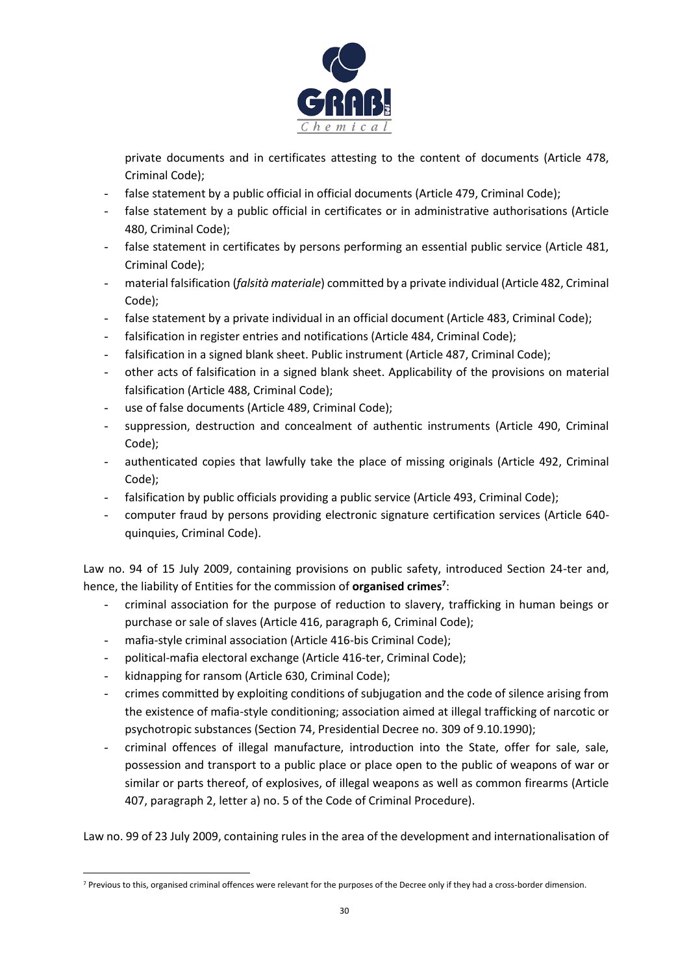

private documents and in certificates attesting to the content of documents (Article 478, Criminal Code);

- false statement by a public official in official documents (Article 479, Criminal Code);
- false statement by a public official in certificates or in administrative authorisations (Article 480, Criminal Code);
- false statement in certificates by persons performing an essential public service (Article 481, Criminal Code);
- material falsification (*falsità materiale*) committed by a private individual (Article 482, Criminal Code);
- false statement by a private individual in an official document (Article 483, Criminal Code);
- falsification in register entries and notifications (Article 484, Criminal Code);
- falsification in a signed blank sheet. Public instrument (Article 487, Criminal Code);
- other acts of falsification in a signed blank sheet. Applicability of the provisions on material falsification (Article 488, Criminal Code);
- use of false documents (Article 489, Criminal Code);
- suppression, destruction and concealment of authentic instruments (Article 490, Criminal Code);
- authenticated copies that lawfully take the place of missing originals (Article 492, Criminal Code);
- falsification by public officials providing a public service (Article 493, Criminal Code);
- computer fraud by persons providing electronic signature certification services (Article 640 quinquies, Criminal Code).

Law no. 94 of 15 July 2009, containing provisions on public safety, introduced Section 24-ter and, hence, the liability of Entities for the commission of **organised crimes<sup>7</sup>** :

- criminal association for the purpose of reduction to slavery, trafficking in human beings or purchase or sale of slaves (Article 416, paragraph 6, Criminal Code);
- mafia-style criminal association (Article 416-bis Criminal Code);
- political-mafia electoral exchange (Article 416-ter, Criminal Code);
- kidnapping for ransom (Article 630, Criminal Code);
- crimes committed by exploiting conditions of subjugation and the code of silence arising from the existence of mafia-style conditioning; association aimed at illegal trafficking of narcotic or psychotropic substances (Section 74, Presidential Decree no. 309 of 9.10.1990);
- criminal offences of illegal manufacture, introduction into the State, offer for sale, sale, possession and transport to a public place or place open to the public of weapons of war or similar or parts thereof, of explosives, of illegal weapons as well as common firearms (Article 407, paragraph 2, letter a) no. 5 of the Code of Criminal Procedure).

Law no. 99 of 23 July 2009, containing rules in the area of the development and internationalisation of

<sup>&</sup>lt;sup>7</sup> Previous to this, organised criminal offences were relevant for the purposes of the Decree only if they had a cross-border dimension.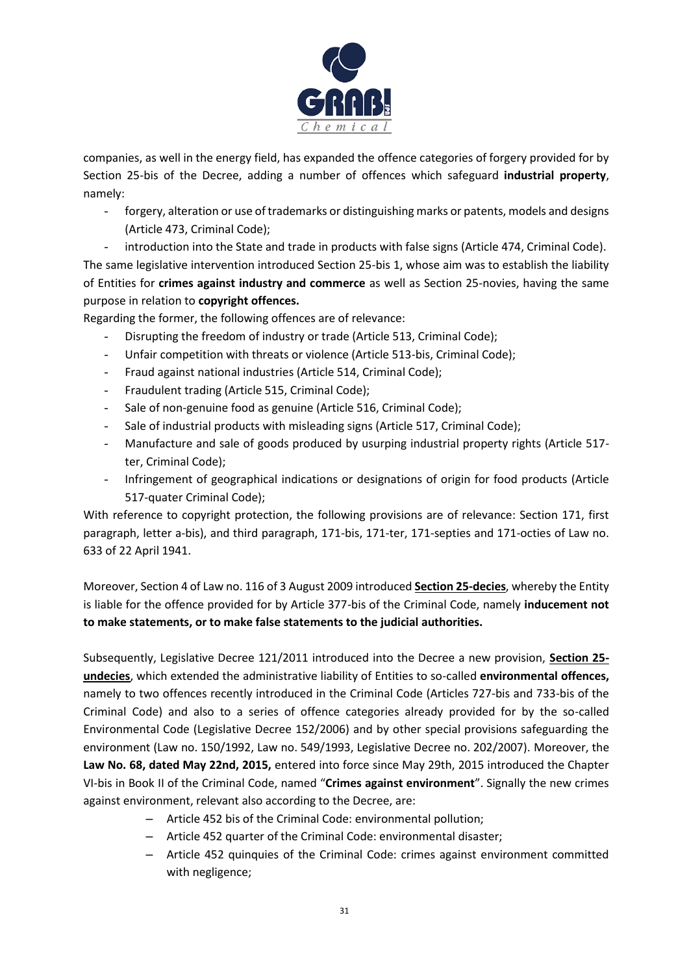

companies, as well in the energy field, has expanded the offence categories of forgery provided for by Section 25-bis of the Decree, adding a number of offences which safeguard **industrial property**, namely:

- forgery, alteration or use of trademarks or distinguishing marks or patents, models and designs (Article 473, Criminal Code);

- introduction into the State and trade in products with false signs (Article 474, Criminal Code). The same legislative intervention introduced Section 25-bis 1, whose aim was to establish the liability of Entities for **crimes against industry and commerce** as well as Section 25-novies, having the same purpose in relation to **copyright offences.**

Regarding the former, the following offences are of relevance:

- Disrupting the freedom of industry or trade (Article 513, Criminal Code);
- Unfair competition with threats or violence (Article 513-bis, Criminal Code);
- Fraud against national industries (Article 514, Criminal Code);
- Fraudulent trading (Article 515, Criminal Code);
- Sale of non-genuine food as genuine (Article 516, Criminal Code);
- Sale of industrial products with misleading signs (Article 517, Criminal Code);
- Manufacture and sale of goods produced by usurping industrial property rights (Article 517 ter, Criminal Code);
- Infringement of geographical indications or designations of origin for food products (Article 517-quater Criminal Code);

With reference to copyright protection, the following provisions are of relevance: Section 171, first paragraph, letter a-bis), and third paragraph, 171-bis, 171-ter, 171-septies and 171-octies of Law no. 633 of 22 April 1941.

Moreover, Section 4 of Law no. 116 of 3 August 2009 introduced **Section 25-decies**, whereby the Entity is liable for the offence provided for by Article 377-bis of the Criminal Code, namely **inducement not to make statements, or to make false statements to the judicial authorities.**

Subsequently, Legislative Decree 121/2011 introduced into the Decree a new provision, **Section 25 undecies**, which extended the administrative liability of Entities to so-called **environmental offences,**  namely to two offences recently introduced in the Criminal Code (Articles 727-bis and 733-bis of the Criminal Code) and also to a series of offence categories already provided for by the so-called Environmental Code (Legislative Decree 152/2006) and by other special provisions safeguarding the environment (Law no. 150/1992, Law no. 549/1993, Legislative Decree no. 202/2007). Moreover, the **Law No. 68, dated May 22nd, 2015,** entered into force since May 29th, 2015 introduced the Chapter VI-bis in Book II of the Criminal Code, named "**Crimes against environment**". Signally the new crimes against environment, relevant also according to the Decree, are:

- Article 452 bis of the Criminal Code: environmental pollution;
- Article 452 quarter of the Criminal Code: environmental disaster;
- Article 452 quinquies of the Criminal Code: crimes against environment committed with negligence;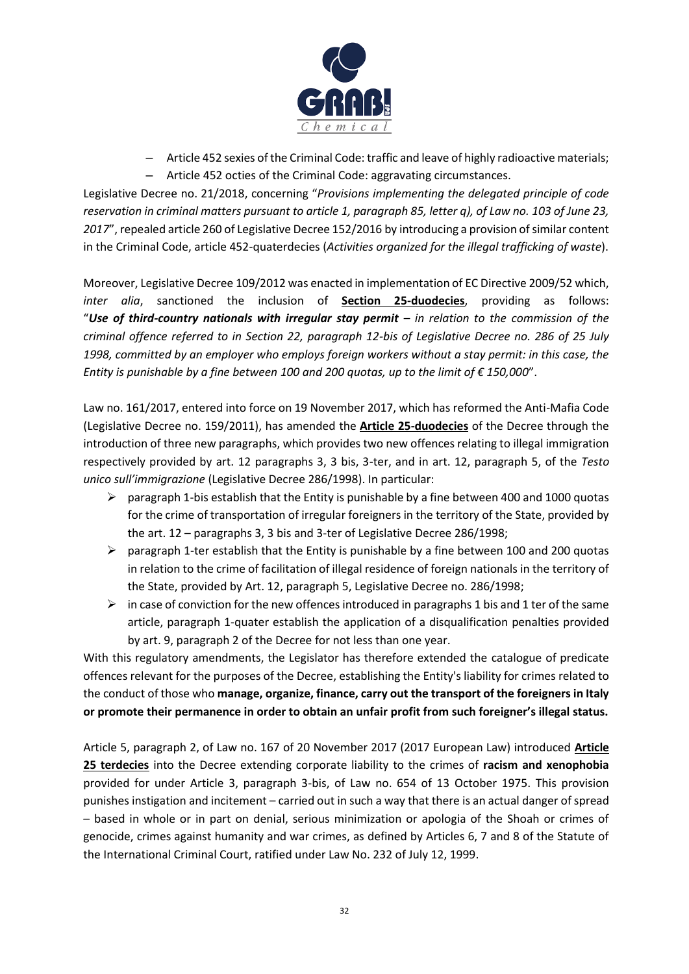

- Article 452 sexies of the Criminal Code: traffic and leave of highly radioactive materials;
- Article 452 octies of the Criminal Code: aggravating circumstances.

Legislative Decree no. 21/2018, concerning "*Provisions implementing the delegated principle of code reservation in criminal matters pursuant to article 1, paragraph 85, letter q), of Law no. 103 of June 23,*  2017", repealed article 260 of Legislative Decree 152/2016 by introducing a provision of similar content in the Criminal Code, article 452-quaterdecies (*Activities organized for the illegal trafficking of waste*).

Moreover, Legislative Decree 109/2012 was enacted in implementation of EC Directive 2009/52 which, *inter alia*, sanctioned the inclusion of **Section 25-duodecies**, providing as follows: "*Use of third-country nationals with irregular stay permit – in relation to the commission of the criminal offence referred to in Section 22, paragraph 12-bis of Legislative Decree no. 286 of 25 July 1998, committed by an employer who employs foreign workers without a stay permit: in this case, the Entity is punishable by a fine between 100 and 200 quotas, up to the limit of € 150,000*".

Law no. 161/2017, entered into force on 19 November 2017, which has reformed the Anti-Mafia Code (Legislative Decree no. 159/2011), has amended the **Article 25-duodecies** of the Decree through the introduction of three new paragraphs, which provides two new offences relating to illegal immigration respectively provided by art. 12 paragraphs 3, 3 bis, 3-ter, and in art. 12, paragraph 5, of the *Testo unico sull'immigrazione* (Legislative Decree 286/1998). In particular:

- $\triangleright$  paragraph 1-bis establish that the Entity is punishable by a fine between 400 and 1000 quotas for the crime of transportation of irregular foreigners in the territory of the State, provided by the art. 12 – paragraphs 3, 3 bis and 3-ter of Legislative Decree 286/1998;
- $\triangleright$  paragraph 1-ter establish that the Entity is punishable by a fine between 100 and 200 quotas in relation to the crime of facilitation of illegal residence of foreign nationals in the territory of the State, provided by Art. 12, paragraph 5, Legislative Decree no. 286/1998;
- $\triangleright$  in case of conviction for the new offences introduced in paragraphs 1 bis and 1 ter of the same article, paragraph 1-quater establish the application of a disqualification penalties provided by art. 9, paragraph 2 of the Decree for not less than one year.

With this regulatory amendments, the Legislator has therefore extended the catalogue of predicate offences relevant for the purposes of the Decree, establishing the Entity's liability for crimes related to the conduct of those who **manage, organize, finance, carry out the transport of the foreigners in Italy or promote their permanence in order to obtain an unfair profit from such foreigner's illegal status.** 

Article 5, paragraph 2, of Law no. 167 of 20 November 2017 (2017 European Law) introduced **Article 25 terdecies** into the Decree extending corporate liability to the crimes of **racism and xenophobia**  provided for under Article 3, paragraph 3-bis, of Law no. 654 of 13 October 1975. This provision punishes instigation and incitement – carried out in such a way that there is an actual danger of spread – based in whole or in part on denial, serious minimization or apologia of the Shoah or crimes of genocide, crimes against humanity and war crimes, as defined by Articles 6, 7 and 8 of the Statute of the International Criminal Court, ratified under Law No. 232 of July 12, 1999.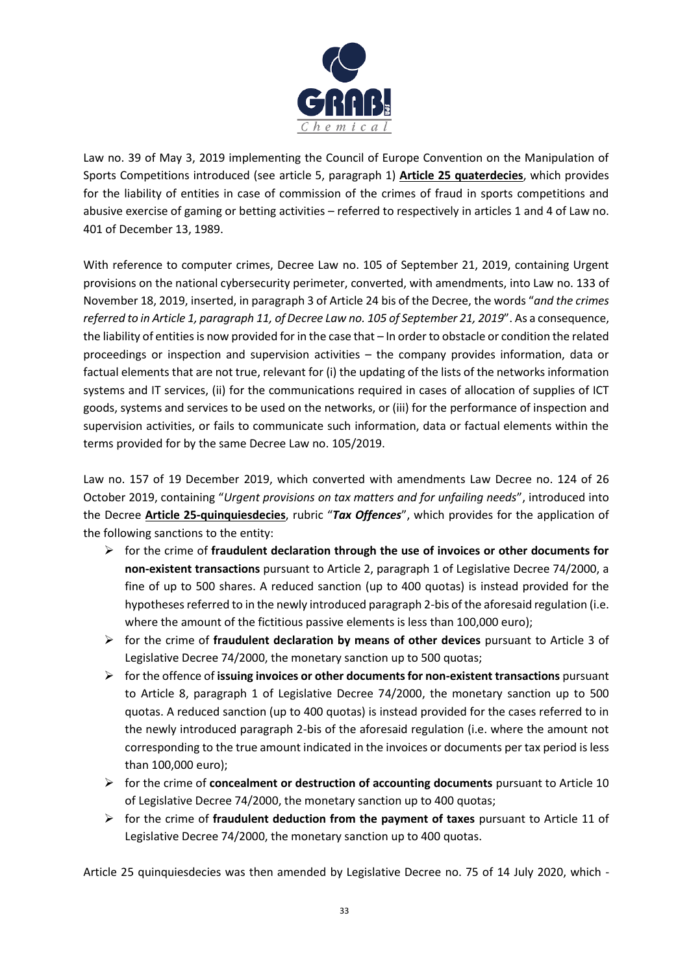

Law no. 39 of May 3, 2019 implementing the Council of Europe Convention on the Manipulation of Sports Competitions introduced (see article 5, paragraph 1) **Article 25 quaterdecies**, which provides for the liability of entities in case of commission of the crimes of fraud in sports competitions and abusive exercise of gaming or betting activities – referred to respectively in articles 1 and 4 of Law no. 401 of December 13, 1989.

With reference to computer crimes, Decree Law no. 105 of September 21, 2019, containing Urgent provisions on the national cybersecurity perimeter, converted, with amendments, into Law no. 133 of November 18, 2019, inserted, in paragraph 3 of Article 24 bis of the Decree, the words "*and the crimes referred to in Article 1, paragraph 11, of Decree Law no. 105 of September 21, 2019*". As a consequence, the liability of entities is now provided for in the case that – In order to obstacle or condition the related proceedings or inspection and supervision activities – the company provides information, data or factual elements that are not true, relevant for (i) the updating of the lists of the networks information systems and IT services, (ii) for the communications required in cases of allocation of supplies of ICT goods, systems and services to be used on the networks, or (iii) for the performance of inspection and supervision activities, or fails to communicate such information, data or factual elements within the terms provided for by the same Decree Law no. 105/2019.

Law no. 157 of 19 December 2019, which converted with amendments Law Decree no. 124 of 26 October 2019, containing "*Urgent provisions on tax matters and for unfailing needs*", introduced into the Decree **Article 25-quinquiesdecies**, rubric "*Tax Offences*", which provides for the application of the following sanctions to the entity:

- ➢ for the crime of **fraudulent declaration through the use of invoices or other documents for non-existent transactions** pursuant to Article 2, paragraph 1 of Legislative Decree 74/2000, a fine of up to 500 shares. A reduced sanction (up to 400 quotas) is instead provided for the hypotheses referred to in the newly introduced paragraph 2-bis of the aforesaid regulation (i.e. where the amount of the fictitious passive elements is less than 100,000 euro);
- ➢ for the crime of **fraudulent declaration by means of other devices** pursuant to Article 3 of Legislative Decree 74/2000, the monetary sanction up to 500 quotas;
- ➢ for the offence of **issuing invoices or other documents for non-existent transactions** pursuant to Article 8, paragraph 1 of Legislative Decree 74/2000, the monetary sanction up to 500 quotas. A reduced sanction (up to 400 quotas) is instead provided for the cases referred to in the newly introduced paragraph 2-bis of the aforesaid regulation (i.e. where the amount not corresponding to the true amount indicated in the invoices or documents per tax period is less than 100,000 euro);
- ➢ for the crime of **concealment or destruction of accounting documents** pursuant to Article 10 of Legislative Decree 74/2000, the monetary sanction up to 400 quotas;
- ➢ for the crime of **fraudulent deduction from the payment of taxes** pursuant to Article 11 of Legislative Decree 74/2000, the monetary sanction up to 400 quotas.

Article 25 quinquiesdecies was then amended by Legislative Decree no. 75 of 14 July 2020, which -